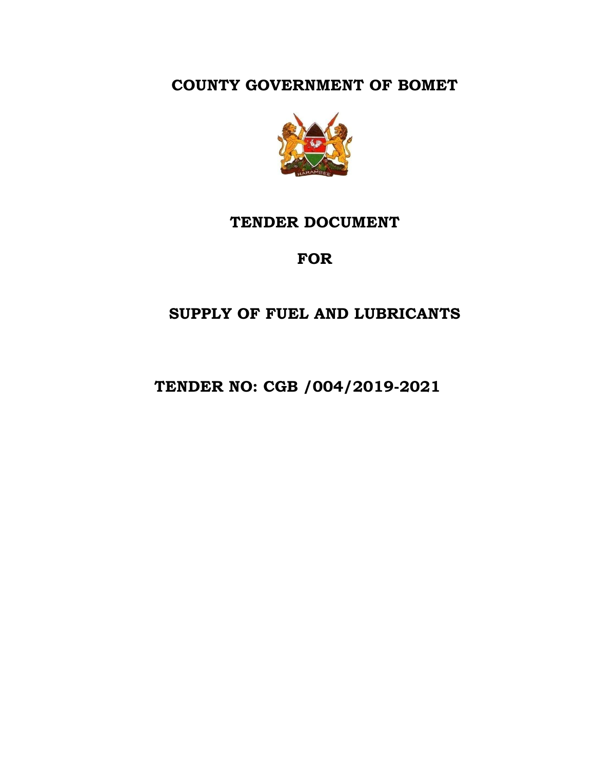**COUNTY GOVERNMENT OF BOMET**



# **TENDER DOCUMENT**

# **FOR**

# **SUPPLY OF FUEL AND LUBRICANTS**

 **TENDER NO: CGB /004/2019-2021**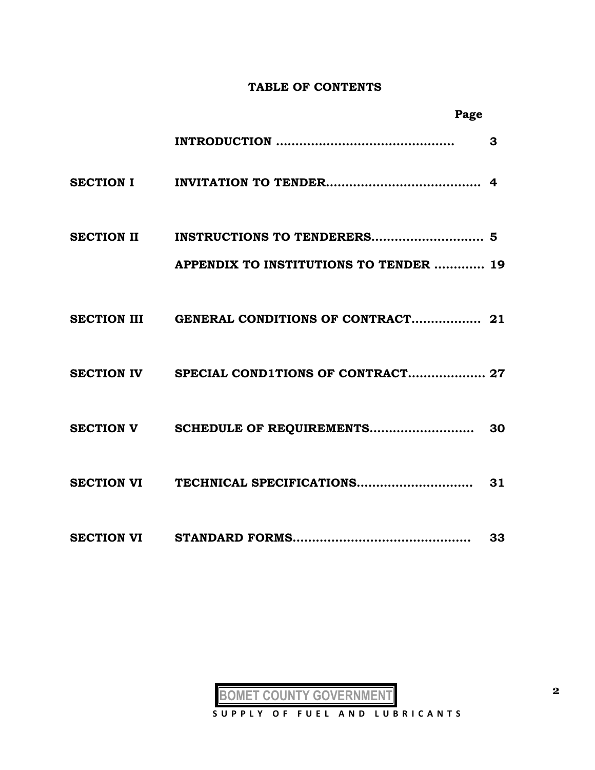#### **TABLE OF CONTENTS**

| Page                                          |              |
|-----------------------------------------------|--------------|
|                                               | $\mathbf{3}$ |
|                                               |              |
|                                               |              |
| <b>APPENDIX TO INSTITUTIONS TO TENDER  19</b> |              |
|                                               |              |
| SECTION IV SPECIAL COND1TIONS OF CONTRACT 27  |              |
|                                               |              |
|                                               |              |
|                                               | 33           |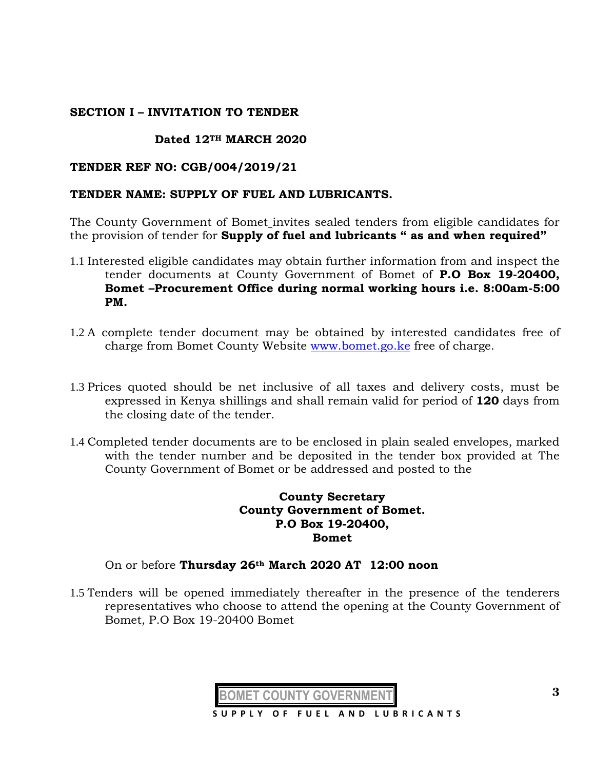## **SECTION I – INVITATION TO TENDER**

# **Dated 12TH MARCH 2020**

#### **TENDER REF NO: CGB/004/2019/21**

#### **TENDER NAME: SUPPLY OF FUEL AND LUBRICANTS.**

The County Government of Bomet invites sealed tenders from eligible candidates for the provision of tender for **Supply of fuel and lubricants " as and when required"**

- 1.1 Interested eligible candidates may obtain further information from and inspect the tender documents at County Government of Bomet of **P.O Box 19-20400, Bomet –Procurement Office during normal working hours i.e. 8:00am-5:00 PM.**
- 1.2 A complete tender document may be obtained by interested candidates free of charge from Bomet County Website [www.bomet.go.ke](http://www.bomet.go.ke/) free of charge.
- 1.3 Prices quoted should be net inclusive of all taxes and delivery costs, must be expressed in Kenya shillings and shall remain valid for period of **120** days from the closing date of the tender.
- 1.4 Completed tender documents are to be enclosed in plain sealed envelopes, marked with the tender number and be deposited in the tender box provided at The County Government of Bomet or be addressed and posted to the

## **County Secretary County Government of Bomet. P.O Box 19-20400, Bomet**

#### On or before **Thursday 26th March 2020 AT 12:00 noon**

1.5 Tenders will be opened immediately thereafter in the presence of the tenderers representatives who choose to attend the opening at the County Government of Bomet, P.O Box 19-20400 Bomet

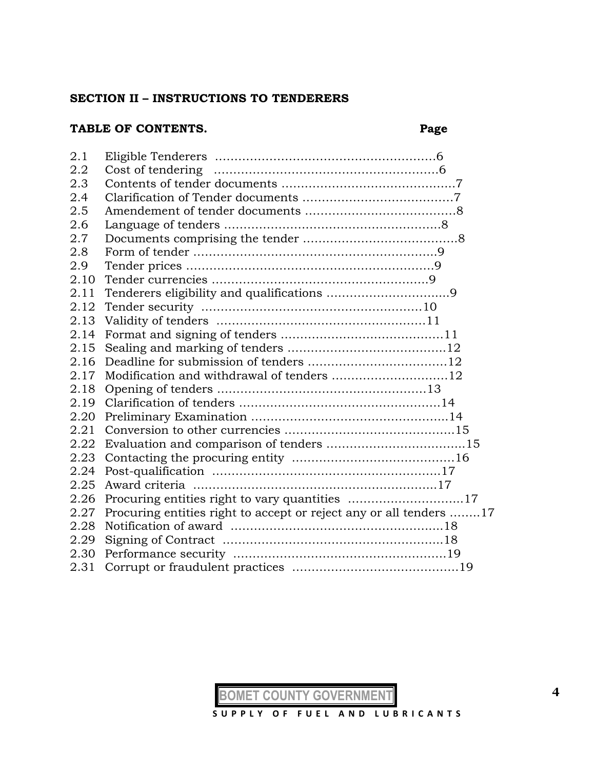#### **SECTION II – INSTRUCTIONS TO TENDERERS**

# **TABLE OF CONTENTS. Page**

| Modification and withdrawal of tenders 12                          |
|--------------------------------------------------------------------|
|                                                                    |
|                                                                    |
|                                                                    |
|                                                                    |
|                                                                    |
|                                                                    |
|                                                                    |
|                                                                    |
|                                                                    |
| Procuring entities right to accept or reject any or all tenders 17 |
|                                                                    |
|                                                                    |
|                                                                    |
|                                                                    |
|                                                                    |

**BOMET COUNTY GOVERNMENT**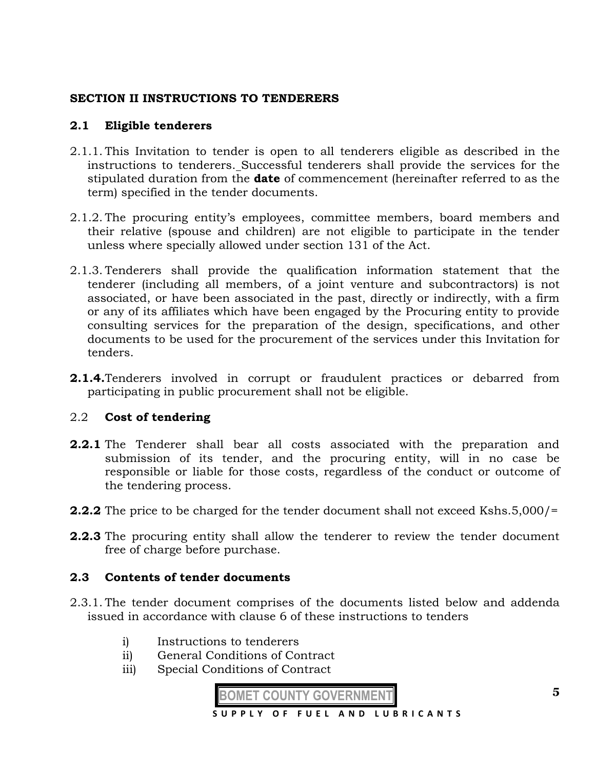# **SECTION II INSTRUCTIONS TO TENDERERS**

# **2.1 Eligible tenderers**

- 2.1.1. This Invitation to tender is open to all tenderers eligible as described in the instructions to tenderers. Successful tenderers shall provide the services for the stipulated duration from the **date** of commencement (hereinafter referred to as the term) specified in the tender documents.
- 2.1.2. The procuring entity's employees, committee members, board members and their relative (spouse and children) are not eligible to participate in the tender unless where specially allowed under section 131 of the Act.
- 2.1.3. Tenderers shall provide the qualification information statement that the tenderer (including all members, of a joint venture and subcontractors) is not associated, or have been associated in the past, directly or indirectly, with a firm or any of its affiliates which have been engaged by the Procuring entity to provide consulting services for the preparation of the design, specifications, and other documents to be used for the procurement of the services under this Invitation for tenders.
- **2.1.4.**Tenderers involved in corrupt or fraudulent practices or debarred from participating in public procurement shall not be eligible.

# 2.2 **Cost of tendering**

- **2.2.1** The Tenderer shall bear all costs associated with the preparation and submission of its tender, and the procuring entity, will in no case be responsible or liable for those costs, regardless of the conduct or outcome of the tendering process.
- **2.2.2** The price to be charged for the tender document shall not exceed Kshs.5,000/=
- **2.2.3** The procuring entity shall allow the tenderer to review the tender document free of charge before purchase.

#### **2.3 Contents of tender documents**

- 2.3.1. The tender document comprises of the documents listed below and addenda issued in accordance with clause 6 of these instructions to tenders
	- i) Instructions to tenderers
	- ii) General Conditions of Contract
	- iii) Special Conditions of Contract

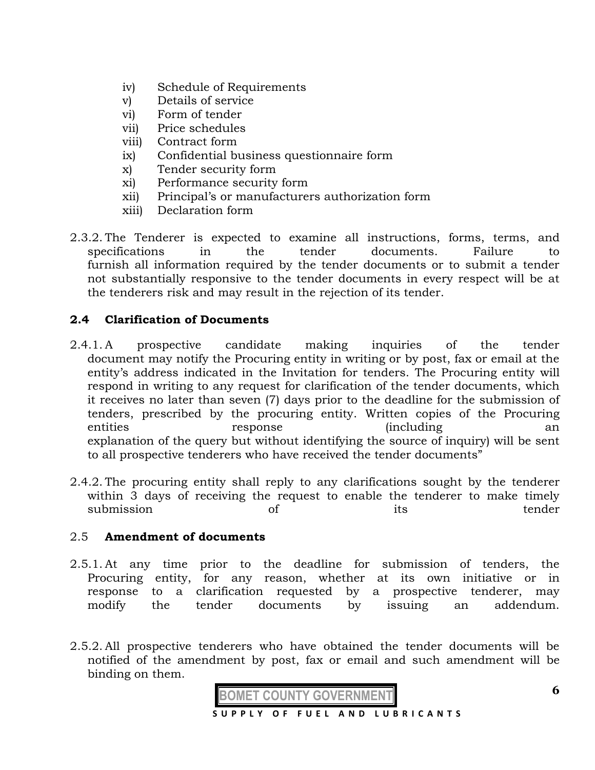- iv) Schedule of Requirements
- v) Details of service
- vi) Form of tender
- vii) Price schedules
- viii) Contract form
- ix) Confidential business questionnaire form
- x) Tender security form
- xi) Performance security form
- xii) Principal's or manufacturers authorization form
- xiii) Declaration form
- 2.3.2. The Tenderer is expected to examine all instructions, forms, terms, and specifications in the tender documents. Failure to furnish all information required by the tender documents or to submit a tender not substantially responsive to the tender documents in every respect will be at the tenderers risk and may result in the rejection of its tender.

# **2.4 Clarification of Documents**

- 2.4.1. A prospective candidate making inquiries of the tender document may notify the Procuring entity in writing or by post, fax or email at the entity's address indicated in the Invitation for tenders. The Procuring entity will respond in writing to any request for clarification of the tender documents, which it receives no later than seven (7) days prior to the deadline for the submission of tenders, prescribed by the procuring entity. Written copies of the Procuring entities response (including an explanation of the query but without identifying the source of inquiry) will be sent to all prospective tenderers who have received the tender documents"
- 2.4.2. The procuring entity shall reply to any clarifications sought by the tenderer within 3 days of receiving the request to enable the tenderer to make timely submission of its tender

# 2.5 **Amendment of documents**

- 2.5.1. At any time prior to the deadline for submission of tenders, the Procuring entity, for any reason, whether at its own initiative or in response to a clarification requested by a prospective tenderer, may modify the tender documents by issuing an addendum.
- 2.5.2. All prospective tenderers who have obtained the tender documents will be notified of the amendment by post, fax or email and such amendment will be binding on them.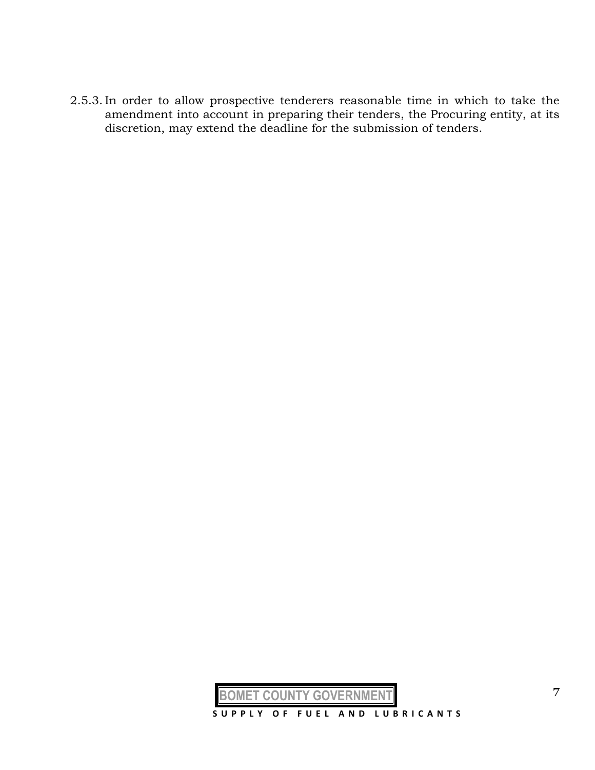2.5.3. In order to allow prospective tenderers reasonable time in which to take the amendment into account in preparing their tenders, the Procuring entity, at its discretion, may extend the deadline for the submission of tenders.

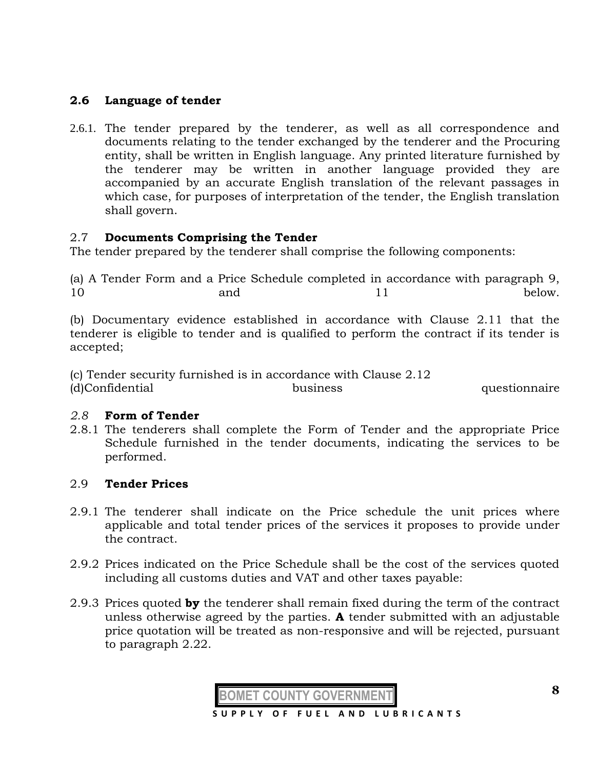# **2.6 Language of tender**

2.6.1. The tender prepared by the tenderer, as well as all correspondence and documents relating to the tender exchanged by the tenderer and the Procuring entity, shall be written in English language. Any printed literature furnished by the tenderer may be written in another language provided they are accompanied by an accurate English translation of the relevant passages in which case, for purposes of interpretation of the tender, the English translation shall govern.

# 2.7 **Documents Comprising the Tender**

The tender prepared by the tenderer shall comprise the following components:

(a) A Tender Form and a Price Schedule completed in accordance with paragraph 9, 10 and 11 below.

(b) Documentary evidence established in accordance with Clause 2.11 that the tenderer is eligible to tender and is qualified to perform the contract if its tender is accepted;

(c) Tender security furnished is in accordance with Clause 2.12 (d)Confidential business questionnaire

#### *2.8* **Form of Tender**

2.8.1 The tenderers shall complete the Form of Tender and the appropriate Price Schedule furnished in the tender documents, indicating the services to be performed.

# 2.9 **Tender Prices**

- 2.9.1 The tenderer shall indicate on the Price schedule the unit prices where applicable and total tender prices of the services it proposes to provide under the contract.
- 2.9.2 Prices indicated on the Price Schedule shall be the cost of the services quoted including all customs duties and VAT and other taxes payable:
- 2.9.3 Prices quoted **by** the tenderer shall remain fixed during the term of the contract unless otherwise agreed by the parties. **A** tender submitted with an adjustable price quotation will be treated as non-responsive and will be rejected, pursuant to paragraph 2.22.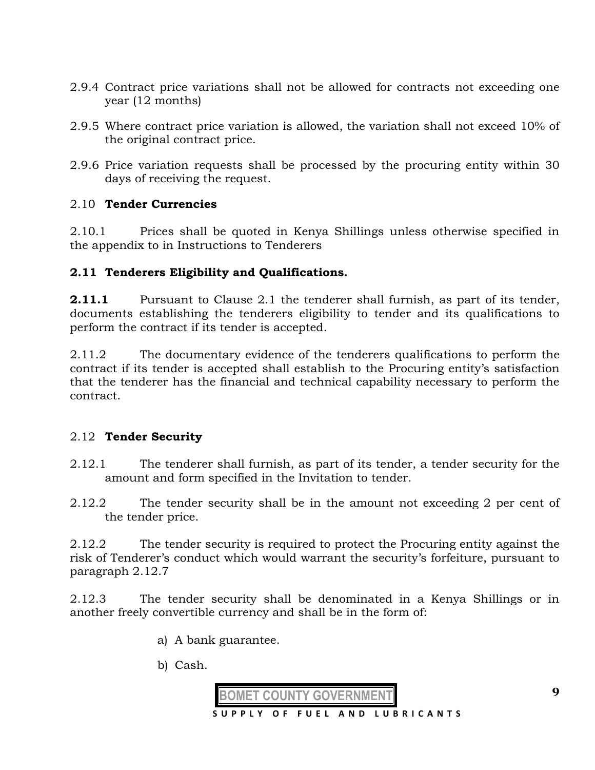- 2.9.4 Contract price variations shall not be allowed for contracts not exceeding one year (12 months)
- 2.9.5 Where contract price variation is allowed, the variation shall not exceed 10% of the original contract price.
- 2.9.6 Price variation requests shall be processed by the procuring entity within 30 days of receiving the request.

# 2.10 **Tender Currencies**

2.10.1 Prices shall be quoted in Kenya Shillings unless otherwise specified in the appendix to in Instructions to Tenderers

## **2.11 Tenderers Eligibility and Qualifications.**

**2.11.1** Pursuant to Clause 2.1 the tenderer shall furnish, as part of its tender, documents establishing the tenderers eligibility to tender and its qualifications to perform the contract if its tender is accepted.

2.11.2 The documentary evidence of the tenderers qualifications to perform the contract if its tender is accepted shall establish to the Procuring entity's satisfaction that the tenderer has the financial and technical capability necessary to perform the contract.

# 2.12 **Tender Security**

- 2.12.1 The tenderer shall furnish, as part of its tender, a tender security for the amount and form specified in the Invitation to tender.
- 2.12.2 The tender security shall be in the amount not exceeding 2 per cent of the tender price.

2.12.2 The tender security is required to protect the Procuring entity against the risk of Tenderer's conduct which would warrant the security's forfeiture, pursuant to paragraph 2.12.7

2.12.3 The tender security shall be denominated in a Kenya Shillings or in another freely convertible currency and shall be in the form of:

- a) A bank guarantee.
- b) Cash.

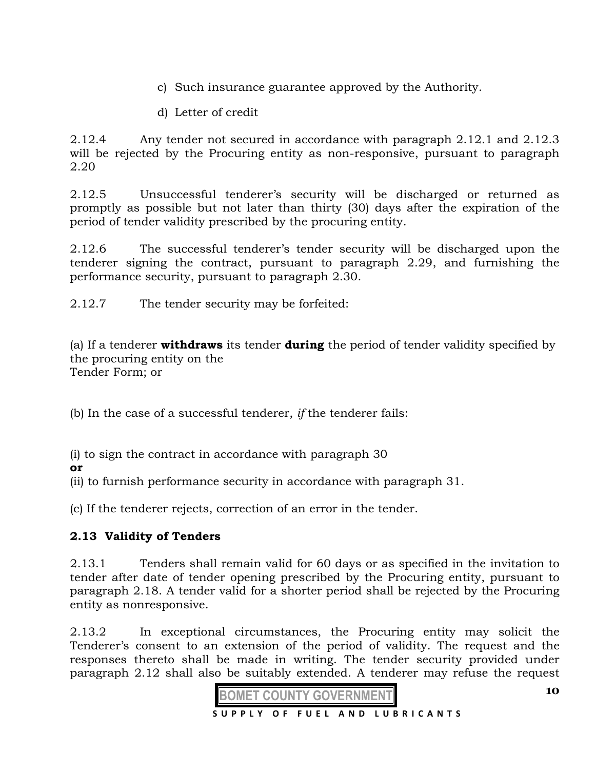- c) Such insurance guarantee approved by the Authority.
- d) Letter of credit

2.12.4 Any tender not secured in accordance with paragraph 2.12.1 and 2.12.3 will be rejected by the Procuring entity as non-responsive, pursuant to paragraph 2.20

2.12.5 Unsuccessful tenderer's security will be discharged or returned as promptly as possible but not later than thirty (30) days after the expiration of the period of tender validity prescribed by the procuring entity.

2.12.6 The successful tenderer's tender security will be discharged upon the tenderer signing the contract, pursuant to paragraph 2.29, and furnishing the performance security, pursuant to paragraph 2.30.

2.12.7 The tender security may be forfeited:

(a) If a tenderer **withdraws** its tender **during** the period of tender validity specified by the procuring entity on the Tender Form; or

(b) In the case of a successful tenderer, *if* the tenderer fails:

(i) to sign the contract in accordance with paragraph 30

**or** 

(ii) to furnish performance security in accordance with paragraph 31.

(c) If the tenderer rejects, correction of an error in the tender.

# **2.13 Validity of Tenders**

2.13.1 Tenders shall remain valid for 60 days or as specified in the invitation to tender after date of tender opening prescribed by the Procuring entity, pursuant to paragraph 2.18. A tender valid for a shorter period shall be rejected by the Procuring entity as nonresponsive.

2.13.2 In exceptional circumstances, the Procuring entity may solicit the Tenderer's consent to an extension of the period of validity. The request and the responses thereto shall be made in writing. The tender security provided under paragraph 2.12 shall also be suitably extended. A tenderer may refuse the request



**10**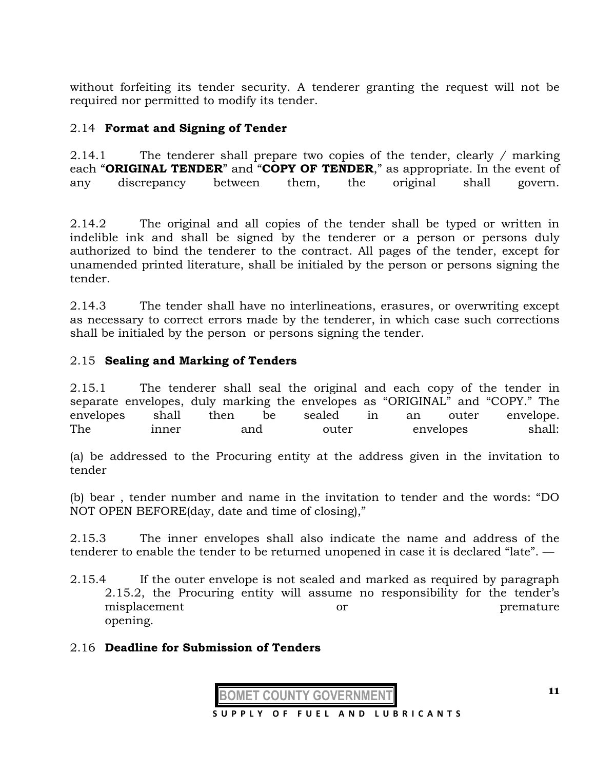without forfeiting its tender security. A tenderer granting the request will not be required nor permitted to modify its tender.

# 2.14 **Format and Signing of Tender**

2.14.1 The tenderer shall prepare two copies of the tender, clearly */* marking each "**ORIGINAL TENDER**" and "**COPY OF TENDER**," as appropriate. In the event of any discrepancy between them, the original shall govern.

2.14.2 The original and all copies of the tender shall be typed or written in indelible ink and shall be signed by the tenderer or a person or persons duly authorized to bind the tenderer to the contract. All pages of the tender, except for unamended printed literature, shall be initialed by the person or persons signing the tender.

2.14.3 The tender shall have no interlineations, erasures, or overwriting except as necessary to correct errors made by the tenderer, in which case such corrections shall be initialed by the person or persons signing the tender.

# 2.15 **Sealing and Marking of Tenders**

2.15.1 The tenderer shall seal the original and each copy of the tender in separate envelopes, duly marking the envelopes as "ORIGINAL" and "COPY." The envelopes shall then be sealed in an outer envelope. The inner and outer envelopes shall:

(a) be addressed to the Procuring entity at the address given in the invitation to tender

(b) bear , tender number and name in the invitation to tender and the words: "DO NOT OPEN BEFORE(day, date and time of closing),"

2.15.3 The inner envelopes shall also indicate the name and address of the tenderer to enable the tender to be returned unopened in case it is declared "late". —

2.15.4 If the outer envelope is not sealed and marked as required by paragraph 2.15.2, the Procuring entity will assume no responsibility for the tender's misplacement or or premature opening.

# 2.16 **Deadline for Submission of Tenders**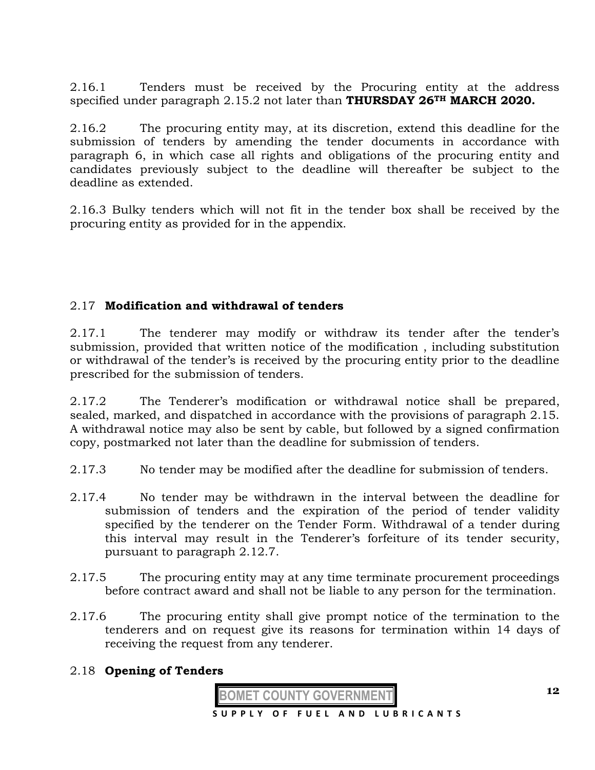2.16.1 Tenders must be received by the Procuring entity at the address specified under paragraph 2.15.2 not later than **THURSDAY 26TH MARCH 2020.**

2.16.2 The procuring entity may, at its discretion, extend this deadline for the submission of tenders by amending the tender documents in accordance with paragraph 6, in which case all rights and obligations of the procuring entity and candidates previously subject to the deadline will thereafter be subject to the deadline as extended.

2.16.3 Bulky tenders which will not fit in the tender box shall be received by the procuring entity as provided for in the appendix.

# 2.17 **Modification and withdrawal of tenders**

2.17.1 The tenderer may modify or withdraw its tender after the tender's submission, provided that written notice of the modification , including substitution or withdrawal of the tender's is received by the procuring entity prior to the deadline prescribed for the submission of tenders.

2.17.2 The Tenderer's modification or withdrawal notice shall be prepared, sealed, marked, and dispatched in accordance with the provisions of paragraph 2.15. A withdrawal notice may also be sent by cable, but followed by a signed confirmation copy, postmarked not later than the deadline for submission of tenders.

- 2.17.3 No tender may be modified after the deadline for submission of tenders.
- 2.17.4 No tender may be withdrawn in the interval between the deadline for submission of tenders and the expiration of the period of tender validity specified by the tenderer on the Tender Form. Withdrawal of a tender during this interval may result in the Tenderer's forfeiture of its tender security, pursuant to paragraph 2.12.7.
- 2.17.5 The procuring entity may at any time terminate procurement proceedings before contract award and shall not be liable to any person for the termination.
- 2.17.6 The procuring entity shall give prompt notice of the termination to the tenderers and on request give its reasons for termination within 14 days of receiving the request from any tenderer.

# 2.18 **Opening of Tenders**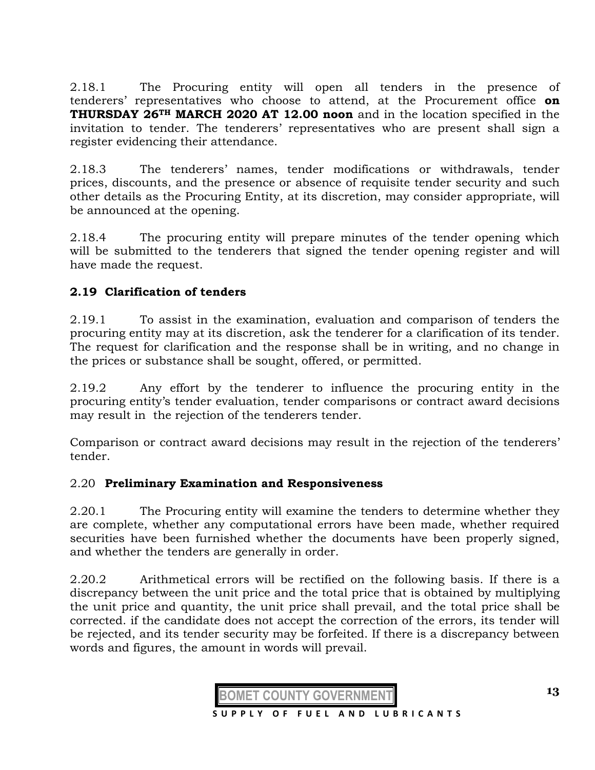2.18.1 The Procuring entity will open all tenders in the presence of tenderers' representatives who choose to attend, at the Procurement office **on THURSDAY 26TH MARCH 2020 AT 12.00 noon** and in the location specified in the invitation to tender. The tenderers' representatives who are present shall sign a register evidencing their attendance.

2.18.3 The tenderers' names, tender modifications or withdrawals, tender prices, discounts, and the presence or absence of requisite tender security and such other details as the Procuring Entity, at its discretion, may consider appropriate, will be announced at the opening.

2.18.4 The procuring entity will prepare minutes of the tender opening which will be submitted to the tenderers that signed the tender opening register and will have made the request.

# **2.19 Clarification of tenders**

2.19.1 To assist in the examination, evaluation and comparison of tenders the procuring entity may at its discretion, ask the tenderer for a clarification of its tender. The request for clarification and the response shall be in writing, and no change in the prices or substance shall be sought, offered, or permitted.

2.19.2 Any effort by the tenderer to influence the procuring entity in the procuring entity's tender evaluation, tender comparisons or contract award decisions may result in the rejection of the tenderers tender.

Comparison or contract award decisions may result in the rejection of the tenderers' tender.

# 2.20 **Preliminary Examination and Responsiveness**

2.20.1 The Procuring entity will examine the tenders to determine whether they are complete, whether any computational errors have been made, whether required securities have been furnished whether the documents have been properly signed, and whether the tenders are generally in order.

2.20.2 Arithmetical errors will be rectified on the following basis. If there is a discrepancy between the unit price and the total price that is obtained by multiplying the unit price and quantity, the unit price shall prevail, and the total price shall be corrected. if the candidate does not accept the correction of the errors, its tender will be rejected, and its tender security may be forfeited. If there is a discrepancy between words and figures, the amount in words will prevail.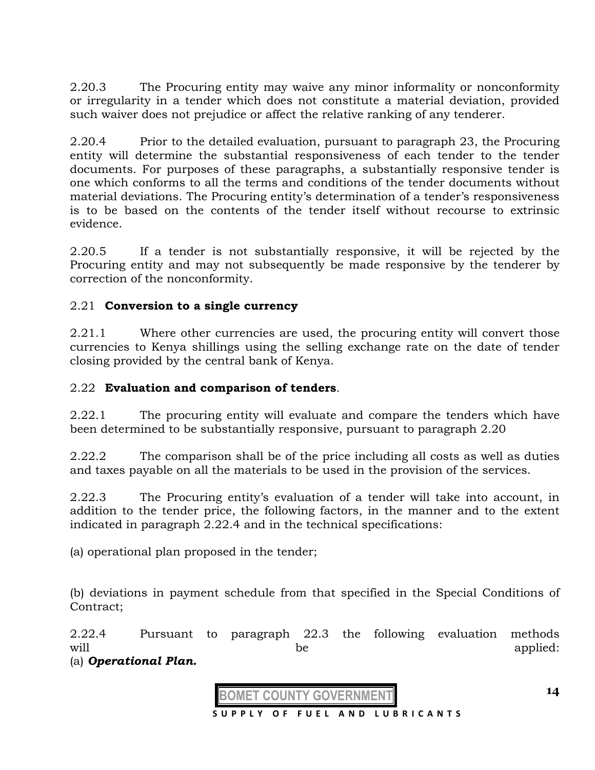2.20.3 The Procuring entity may waive any minor informality or nonconformity or irregularity in a tender which does not constitute a material deviation, provided such waiver does not prejudice or affect the relative ranking of any tenderer.

2.20.4 Prior to the detailed evaluation, pursuant to paragraph 23, the Procuring entity will determine the substantial responsiveness of each tender to the tender documents. For purposes of these paragraphs, a substantially responsive tender is one which conforms to all the terms and conditions of the tender documents without material deviations. The Procuring entity's determination of a tender's responsiveness is to be based on the contents of the tender itself without recourse to extrinsic evidence.

2.20.5 If a tender is not substantially responsive, it will be rejected by the Procuring entity and may not subsequently be made responsive by the tenderer by correction of the nonconformity.

# 2.21 **Conversion to a single currency**

2.21.1 Where other currencies are used, the procuring entity will convert those currencies to Kenya shillings using the selling exchange rate on the date of tender closing provided by the central bank of Kenya.

# 2.22 **Evaluation and comparison of tenders**.

2.22.1 The procuring entity will evaluate and compare the tenders which have been determined to be substantially responsive, pursuant to paragraph 2.20

2.22.2 The comparison shall be of the price including all costs as well as duties and taxes payable on all the materials to be used in the provision of the services.

2.22.3 The Procuring entity's evaluation of a tender will take into account, in addition to the tender price, the following factors, in the manner and to the extent indicated in paragraph 2.22.4 and in the technical specifications:

(a) operational plan proposed in the tender;

(b) deviations in payment schedule from that specified in the Special Conditions of Contract;

2.22.4 Pursuant to paragraph 22.3 the following evaluation methods will be applied: (a) *Operational Plan.* 



 **S U P P L Y O F F U E L A N D L U B R I C A N T S**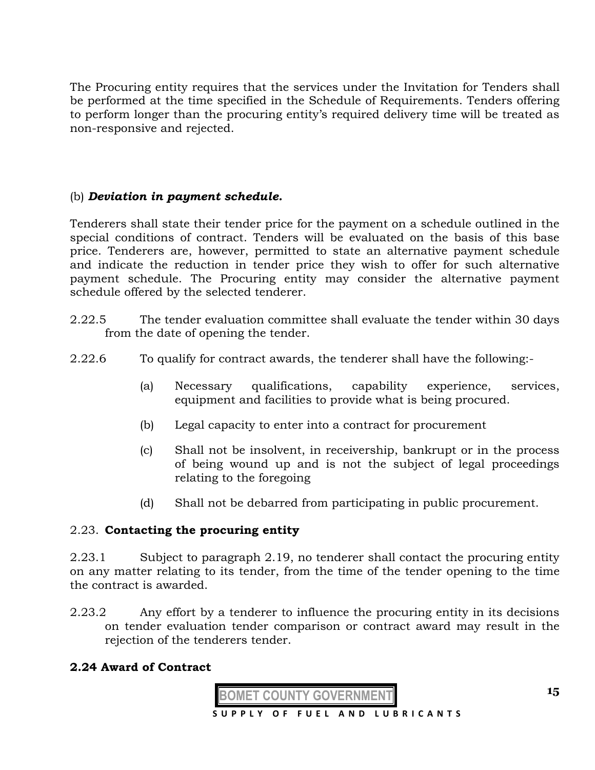The Procuring entity requires that the services under the Invitation for Tenders shall be performed at the time specified in the Schedule of Requirements. Tenders offering to perform longer than the procuring entity's required delivery time will be treated as non-responsive and rejected.

## (b) *Deviation in payment schedule.*

Tenderers shall state their tender price for the payment on a schedule outlined in the special conditions of contract. Tenders will be evaluated on the basis of this base price. Tenderers are, however, permitted to state an alternative payment schedule and indicate the reduction in tender price they wish to offer for such alternative payment schedule. The Procuring entity may consider the alternative payment schedule offered by the selected tenderer.

- 2.22.5 The tender evaluation committee shall evaluate the tender within 30 days from the date of opening the tender.
- 2.22.6 To qualify for contract awards, the tenderer shall have the following:-
	- (a) Necessary qualifications, capability experience, services, equipment and facilities to provide what is being procured.
	- (b) Legal capacity to enter into a contract for procurement
	- (c) Shall not be insolvent, in receivership, bankrupt or in the process of being wound up and is not the subject of legal proceedings relating to the foregoing
	- (d) Shall not be debarred from participating in public procurement.

#### 2.23. **Contacting the procuring entity**

2.23.1 Subject to paragraph 2.19, no tenderer shall contact the procuring entity on any matter relating to its tender, from the time of the tender opening to the time the contract is awarded.

2.23.2 Any effort by a tenderer to influence the procuring entity in its decisions on tender evaluation tender comparison or contract award may result in the rejection of the tenderers tender.

# **2.24 Award of Contract**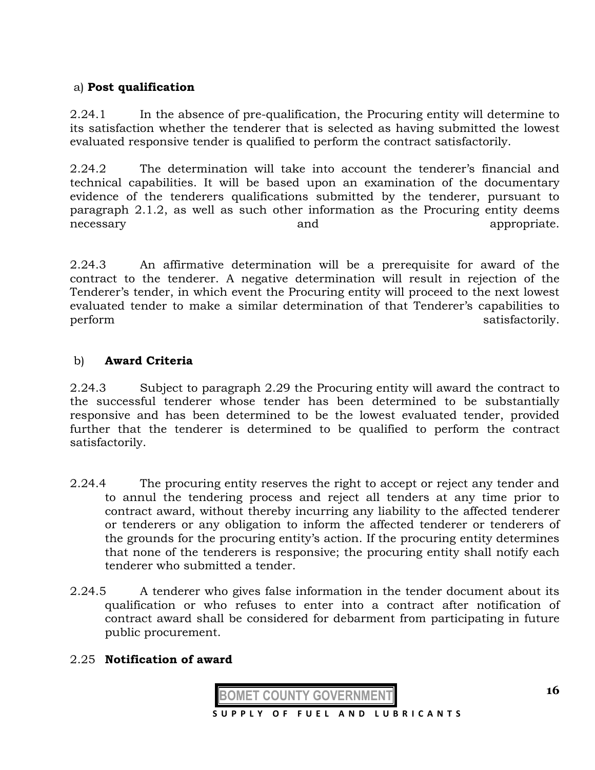# a) **Post qualification**

2.24.1 In the absence of pre-qualification, the Procuring entity will determine to its satisfaction whether the tenderer that is selected as having submitted the lowest evaluated responsive tender is qualified to perform the contract satisfactorily.

2.24.2 The determination will take into account the tenderer's financial and technical capabilities. It will be based upon an examination of the documentary evidence of the tenderers qualifications submitted by the tenderer, pursuant to paragraph 2.1.2, as well as such other information as the Procuring entity deems necessary and appropriate.

2.24.3 An affirmative determination will be a prerequisite for award of the contract to the tenderer. A negative determination will result in rejection of the Tenderer's tender, in which event the Procuring entity will proceed to the next lowest evaluated tender to make a similar determination of that Tenderer's capabilities to perform satisfactorily.

# b) **Award Criteria**

2.24.3 Subject to paragraph 2.29 the Procuring entity will award the contract to the successful tenderer whose tender has been determined to be substantially responsive and has been determined to be the lowest evaluated tender, provided further that the tenderer is determined to be qualified to perform the contract satisfactorily.

- 2.24.4 The procuring entity reserves the right to accept or reject any tender and to annul the tendering process and reject all tenders at any time prior to contract award, without thereby incurring any liability to the affected tenderer or tenderers or any obligation to inform the affected tenderer or tenderers of the grounds for the procuring entity's action. If the procuring entity determines that none of the tenderers is responsive; the procuring entity shall notify each tenderer who submitted a tender.
- 2.24.5 A tenderer who gives false information in the tender document about its qualification or who refuses to enter into a contract after notification of contract award shall be considered for debarment from participating in future public procurement.

# 2.25 **Notification of award**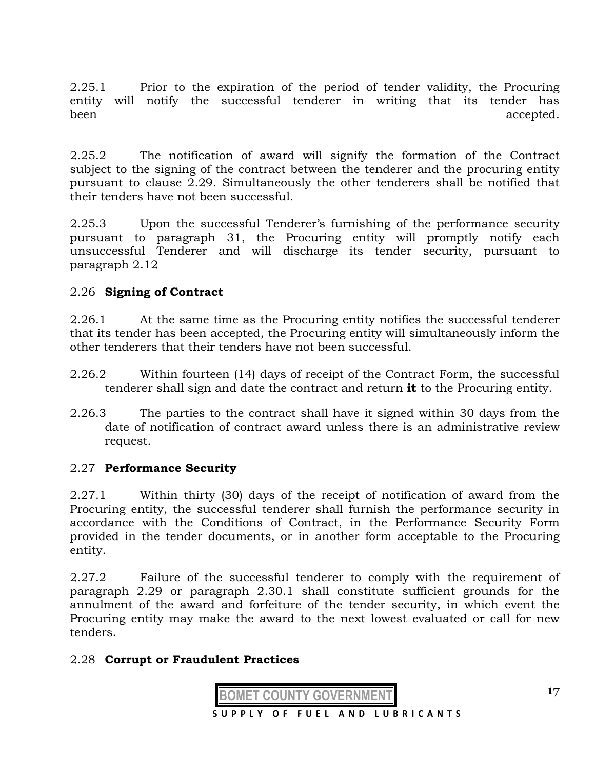2.25.1 Prior to the expiration of the period of tender validity, the Procuring entity will notify the successful tenderer in writing that its tender has been accepted.

2.25.2 The notification of award will signify the formation of the Contract subject to the signing of the contract between the tenderer and the procuring entity pursuant to clause 2.29. Simultaneously the other tenderers shall be notified that their tenders have not been successful.

2.25.3 Upon the successful Tenderer's furnishing of the performance security pursuant to paragraph 31, the Procuring entity will promptly notify each unsuccessful Tenderer and will discharge its tender security, pursuant to paragraph 2.12

# 2.26 **Signing of Contract**

2.26.1 At the same time as the Procuring entity notifies the successful tenderer that its tender has been accepted, the Procuring entity will simultaneously inform the other tenderers that their tenders have not been successful.

- 2.26.2 Within fourteen (14) days of receipt of the Contract Form, the successful tenderer shall sign and date the contract and return **it** to the Procuring entity.
- 2.26.3 The parties to the contract shall have it signed within 30 days from the date of notification of contract award unless there is an administrative review request.

# 2.27 **Performance Security**

2.27.1 Within thirty (30) days of the receipt of notification of award from the Procuring entity, the successful tenderer shall furnish the performance security in accordance with the Conditions of Contract, in the Performance Security Form provided in the tender documents, or in another form acceptable to the Procuring entity.

2.27.2 Failure of the successful tenderer to comply with the requirement of paragraph 2.29 or paragraph 2.30.1 shall constitute sufficient grounds for the annulment of the award and forfeiture of the tender security, in which event the Procuring entity may make the award to the next lowest evaluated or call for new tenders.

# 2.28 **Corrupt or Fraudulent Practices**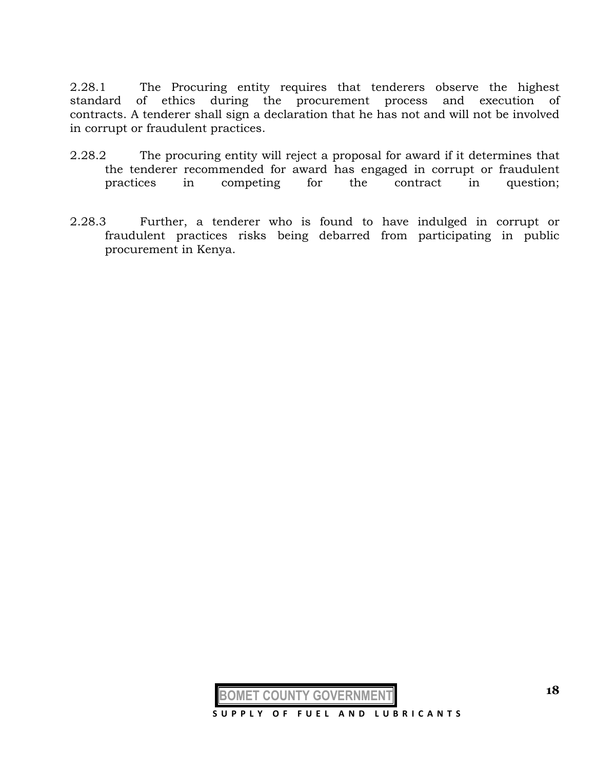2.28.1 The Procuring entity requires that tenderers observe the highest standard of ethics during the procurement process and execution of contracts. A tenderer shall sign a declaration that he has not and will not be involved in corrupt or fraudulent practices.

- 2.28.2 The procuring entity will reject a proposal for award if it determines that the tenderer recommended for award has engaged in corrupt or fraudulent practices in competing for the contract in question;
- 2.28.3 Further, a tenderer who is found to have indulged in corrupt or fraudulent practices risks being debarred from participating in public procurement in Kenya.

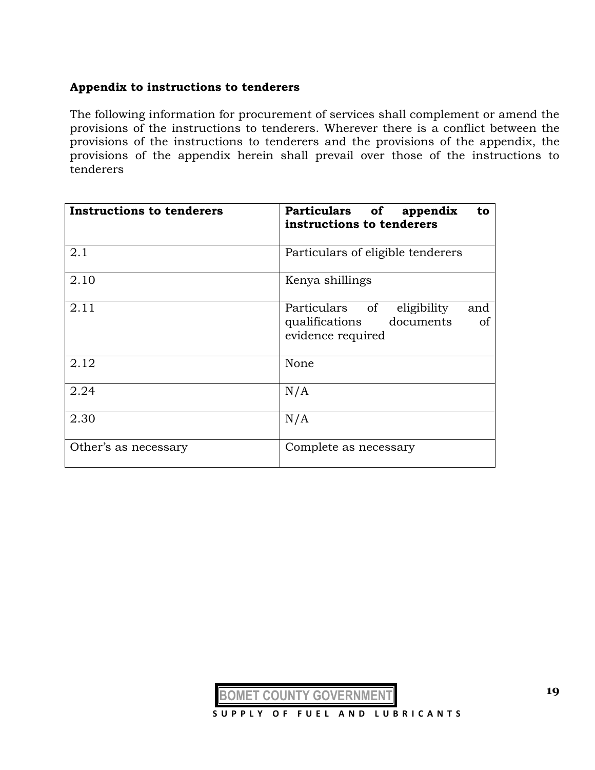#### **Appendix to instructions to tenderers**

The following information for procurement of services shall complement or amend the provisions of the instructions to tenderers. Wherever there is a conflict between the provisions of the instructions to tenderers and the provisions of the appendix, the provisions of the appendix herein shall prevail over those of the instructions to tenderers

| <b>Instructions to tenderers</b> | Particulars of appendix<br>to<br>instructions to tenderers                                                |
|----------------------------------|-----------------------------------------------------------------------------------------------------------|
| 2.1                              | Particulars of eligible tenderers                                                                         |
| 2.10                             | Kenya shillings                                                                                           |
| 2.11                             | Particulars of<br>eligibility<br>and<br>qualifications<br>documents<br><sub>of</sub><br>evidence required |
| 2.12                             | None                                                                                                      |
| 2.24                             | N/A                                                                                                       |
| 2.30                             | N/A                                                                                                       |
| Other's as necessary             | Complete as necessary                                                                                     |

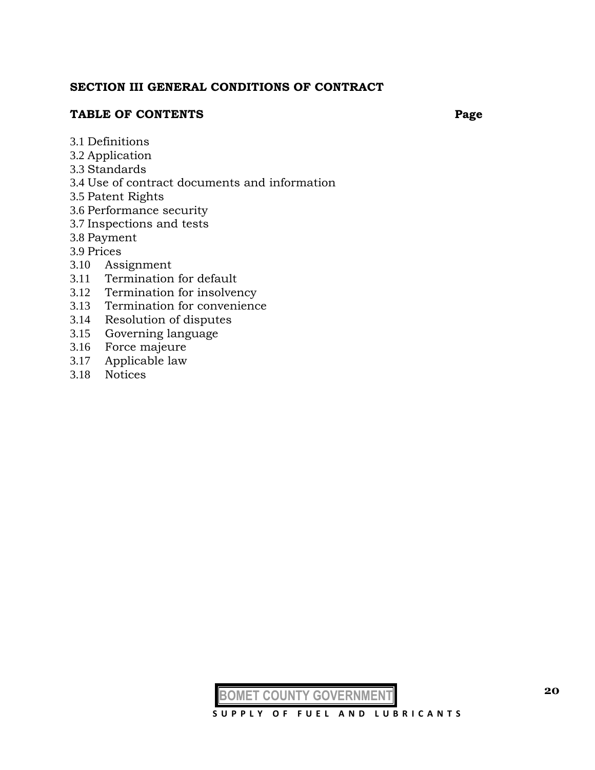#### **SECTION III GENERAL CONDITIONS OF CONTRACT**

#### **TABLE OF CONTENTS Page**

- 3.1 Definitions
- 3.2 Application
- 3.3 Standards
- 3.4 Use of contract documents and information
- 3.5 Patent Rights
- 3.6 Performance security
- 3.7 Inspections and tests
- 3.8 Payment
- 3.9 Prices
- 3.10 Assignment
- 3.11 Termination for default
- 3.12 Termination for insolvency
- 3.13 Termination for convenience
- 3.14 Resolution of disputes
- 3.15 Governing language
- 3.16 Force majeure
- 3.17 Applicable law
- 3.18 Notices

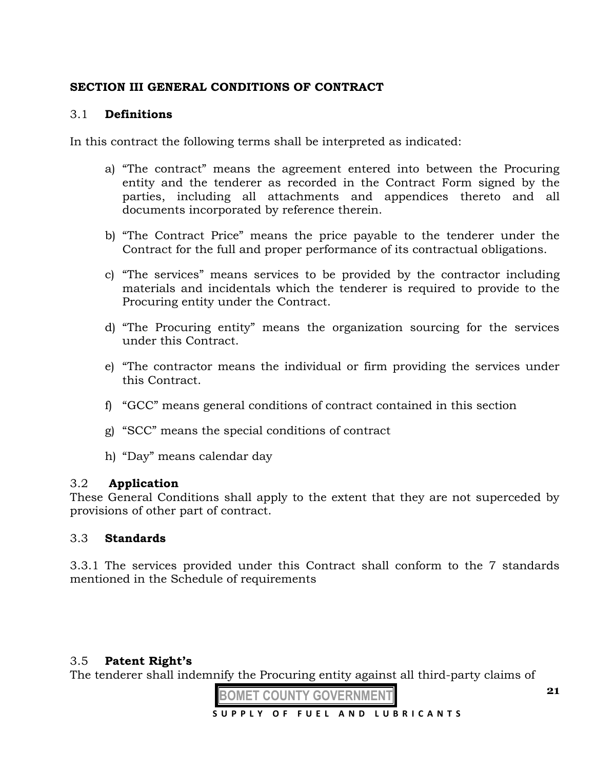# **SECTION III GENERAL CONDITIONS OF CONTRACT**

## 3.1 **Definitions**

In this contract the following terms shall be interpreted as indicated:

- a) "The contract" means the agreement entered into between the Procuring entity and the tenderer as recorded in the Contract Form signed by the parties, including all attachments and appendices thereto and all documents incorporated by reference therein.
- b) "The Contract Price" means the price payable to the tenderer under the Contract for the full and proper performance of its contractual obligations.
- c) "The services" means services to be provided by the contractor including materials and incidentals which the tenderer is required to provide to the Procuring entity under the Contract.
- d) "The Procuring entity" means the organization sourcing for the services under this Contract.
- e) "The contractor means the individual or firm providing the services under this Contract.
- f) "GCC" means general conditions of contract contained in this section
- g) "SCC" means the special conditions of contract
- h) "Day" means calendar day

# 3.2 **Application**

These General Conditions shall apply to the extent that they are not superceded by provisions of other part of contract.

# 3.3 **Standards**

3.3.1 The services provided under this Contract shall conform to the 7 standards mentioned in the Schedule of requirements

# 3.5 **Patent Right's**

The tenderer shall indemnify the Procuring entity against all third-party claims of

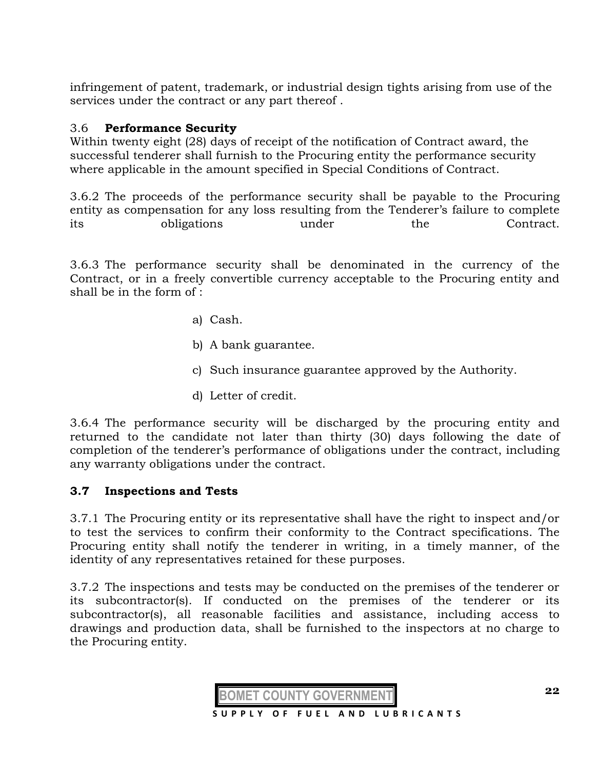infringement of patent, trademark, or industrial design tights arising from use of the services under the contract or any part thereof .

# 3.6 **Performance Security**

Within twenty eight (28) days of receipt of the notification of Contract award, the successful tenderer shall furnish to the Procuring entity the performance security where applicable in the amount specified in Special Conditions of Contract.

3.6.2 The proceeds of the performance security shall be payable to the Procuring entity as compensation for any loss resulting from the Tenderer's failure to complete its obligations under the Contract.

3.6.3 The performance security shall be denominated in the currency of the Contract, or in a freely convertible currency acceptable to the Procuring entity and shall be in the form of :

- a) Cash.
- b) A bank guarantee.
- c) Such insurance guarantee approved by the Authority.
- d) Letter of credit.

3.6.4 The performance security will be discharged by the procuring entity and returned to the candidate not later than thirty (30) days following the date of completion of the tenderer's performance of obligations under the contract, including any warranty obligations under the contract.

#### **3.7 Inspections and Tests**

3.7.1 The Procuring entity or its representative shall have the right to inspect and/or to test the services to confirm their conformity to the Contract specifications. The Procuring entity shall notify the tenderer in writing, in a timely manner, of the identity of any representatives retained for these purposes.

3.7.2 The inspections and tests may be conducted on the premises of the tenderer or its subcontractor(s). If conducted on the premises of the tenderer or its subcontractor(s), all reasonable facilities and assistance, including access to drawings and production data, shall be furnished to the inspectors at no charge to the Procuring entity.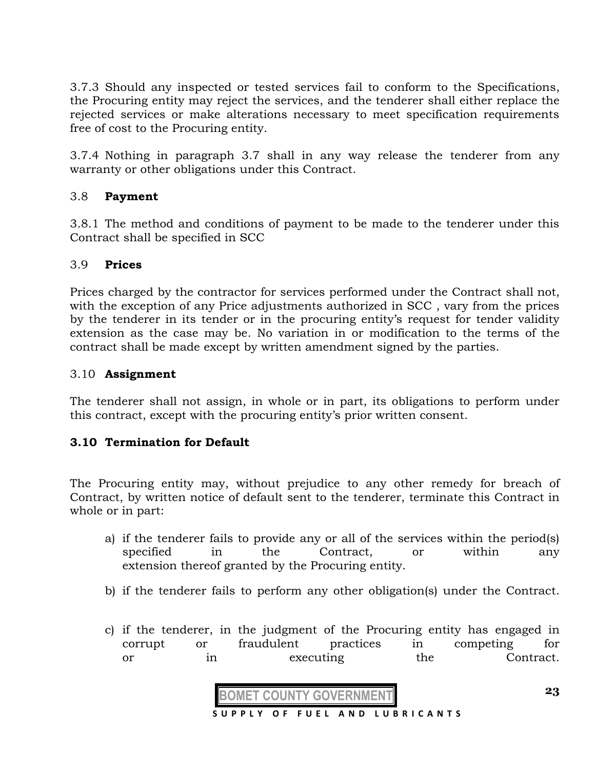3.7.3 Should any inspected or tested services fail to conform to the Specifications, the Procuring entity may reject the services, and the tenderer shall either replace the rejected services or make alterations necessary to meet specification requirements free of cost to the Procuring entity.

3.7.4 Nothing in paragraph 3.7 shall in any way release the tenderer from any warranty or other obligations under this Contract.

# 3.8 **Payment**

3.8.1 The method and conditions of payment to be made to the tenderer under this Contract shall be specified in SCC

## 3.9 **Prices**

Prices charged by the contractor for services performed under the Contract shall not, with the exception of any Price adjustments authorized in SCC , vary from the prices by the tenderer in its tender or in the procuring entity's request for tender validity extension as the case may be. No variation in or modification to the terms of the contract shall be made except by written amendment signed by the parties.

## 3.10 **Assignment**

The tenderer shall not assign, in whole or in part, its obligations to perform under this contract, except with the procuring entity's prior written consent.

# **3.10 Termination for Default**

The Procuring entity may, without prejudice to any other remedy for breach of Contract, by written notice of default sent to the tenderer, terminate this Contract in whole or in part:

- a) if the tenderer fails to provide any or all of the services within the period(s) specified in the Contract, or within any extension thereof granted by the Procuring entity.
- b) if the tenderer fails to perform any other obligation(s) under the Contract.
- c) if the tenderer, in the judgment of the Procuring entity has engaged in corrupt or fraudulent practices in competing for or in executing the Contract.

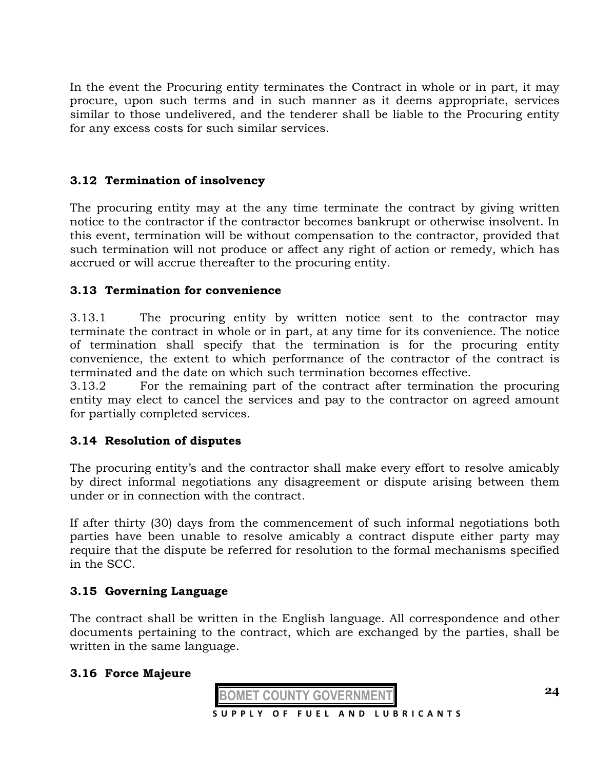In the event the Procuring entity terminates the Contract in whole or in part, it may procure, upon such terms and in such manner as it deems appropriate, services similar to those undelivered, and the tenderer shall be liable to the Procuring entity for any excess costs for such similar services.

# **3.12 Termination of insolvency**

The procuring entity may at the any time terminate the contract by giving written notice to the contractor if the contractor becomes bankrupt or otherwise insolvent. In this event, termination will be without compensation to the contractor, provided that such termination will not produce or affect any right of action or remedy, which has accrued or will accrue thereafter to the procuring entity.

# **3.13 Termination for convenience**

3.13.1 The procuring entity by written notice sent to the contractor may terminate the contract in whole or in part, at any time for its convenience. The notice of termination shall specify that the termination is for the procuring entity convenience, the extent to which performance of the contractor of the contract is terminated and the date on which such termination becomes effective.

3.13.2 For the remaining part of the contract after termination the procuring entity may elect to cancel the services and pay to the contractor on agreed amount for partially completed services.

# **3.14 Resolution of disputes**

The procuring entity's and the contractor shall make every effort to resolve amicably by direct informal negotiations any disagreement or dispute arising between them under or in connection with the contract.

If after thirty (30) days from the commencement of such informal negotiations both parties have been unable to resolve amicably a contract dispute either party may require that the dispute be referred for resolution to the formal mechanisms specified in the SCC.

# **3.15 Governing Language**

The contract shall be written in the English language. All correspondence and other documents pertaining to the contract, which are exchanged by the parties, shall be written in the same language.

# **3.16 Force Majeure**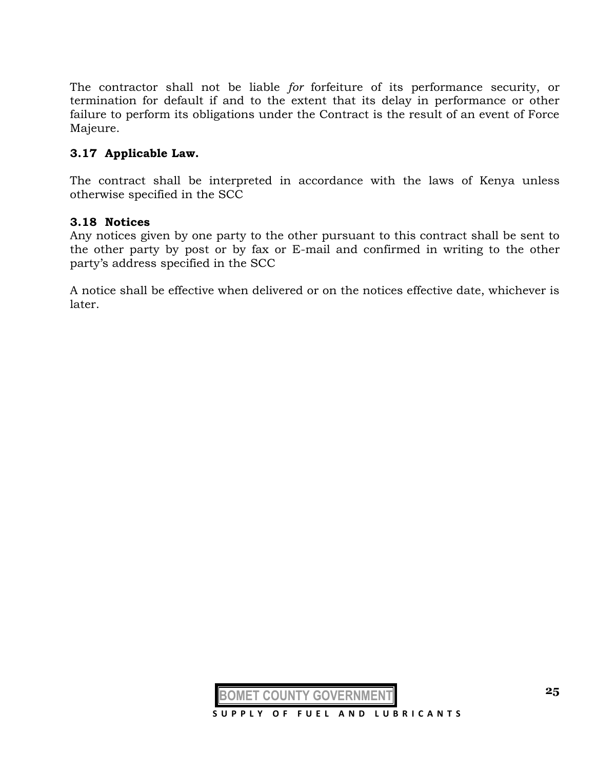The contractor shall not be liable *for* forfeiture of its performance security, or termination for default if and to the extent that its delay in performance or other failure to perform its obligations under the Contract is the result of an event of Force Majeure.

#### **3.17 Applicable Law.**

The contract shall be interpreted in accordance with the laws of Kenya unless otherwise specified in the SCC

#### **3.18 Notices**

Any notices given by one party to the other pursuant to this contract shall be sent to the other party by post or by fax or E-mail and confirmed in writing to the other party's address specified in the SCC

A notice shall be effective when delivered or on the notices effective date, whichever is later.

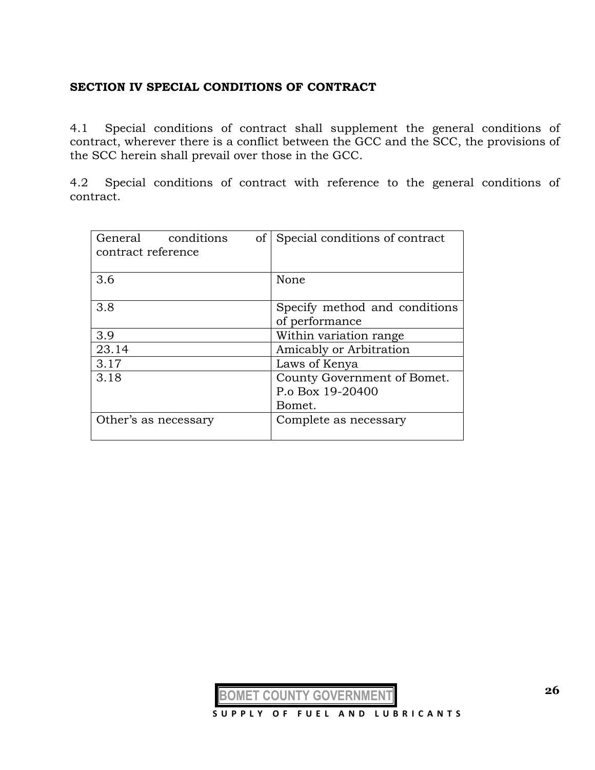#### **SECTION IV SPECIAL CONDITIONS OF CONTRACT**

4.1 Special conditions of contract shall supplement the general conditions of contract, wherever there is a conflict between the GCC and the SCC, the provisions of the SCC herein shall prevail over those in the GCC.

4.2 Special conditions of contract with reference to the general conditions of contract.

| conditions<br>General<br>of<br>contract reference | Special conditions of contract                            |
|---------------------------------------------------|-----------------------------------------------------------|
| 3.6                                               | None                                                      |
| 3.8                                               | Specify method and conditions<br>of performance           |
| 3.9                                               | Within variation range                                    |
| 23.14                                             | Amicably or Arbitration                                   |
| 3.17                                              | Laws of Kenya                                             |
| 3.18                                              | County Government of Bomet.<br>P.o Box 19-20400<br>Bomet. |
| Other's as necessary                              | Complete as necessary                                     |

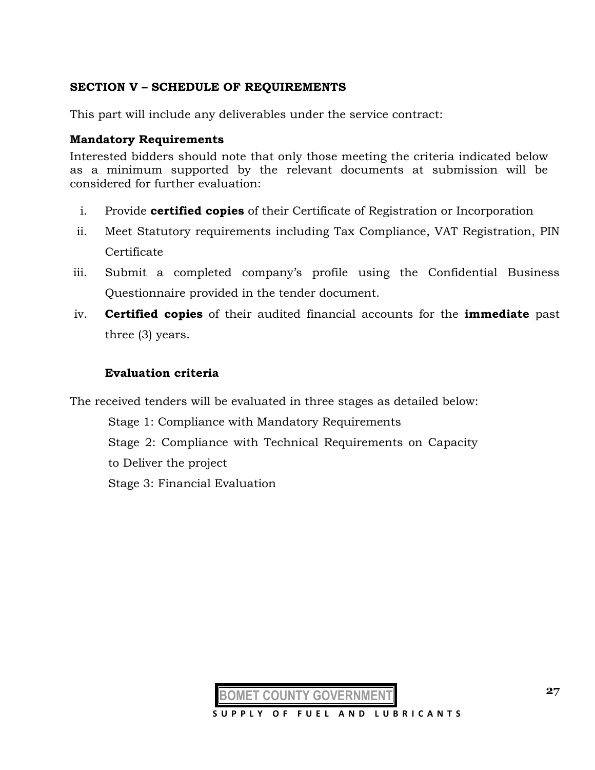## **SECTION V – SCHEDULE OF REQUIREMENTS**

This part will include any deliverables under the service contract:

#### **Mandatory Requirements**

Interested bidders should note that only those meeting the criteria indicated below as a minimum supported by the relevant documents at submission will be considered for further evaluation:

- i. Provide **certified copies** of their Certificate of Registration or Incorporation
- ii. Meet Statutory requirements including Tax Compliance, VAT Registration, PIN Certificate
- iii. Submit a completed company's profile using the Confidential Business Questionnaire provided in the tender document.
- iv. **Certified copies** of their audited financial accounts for the **immediate** past three (3) years.

#### **Evaluation criteria**

The received tenders will be evaluated in three stages as detailed below:

Stage 1: Compliance with Mandatory Requirements Stage 2: Compliance with Technical Requirements on Capacity to Deliver the project Stage 3: Financial Evaluation

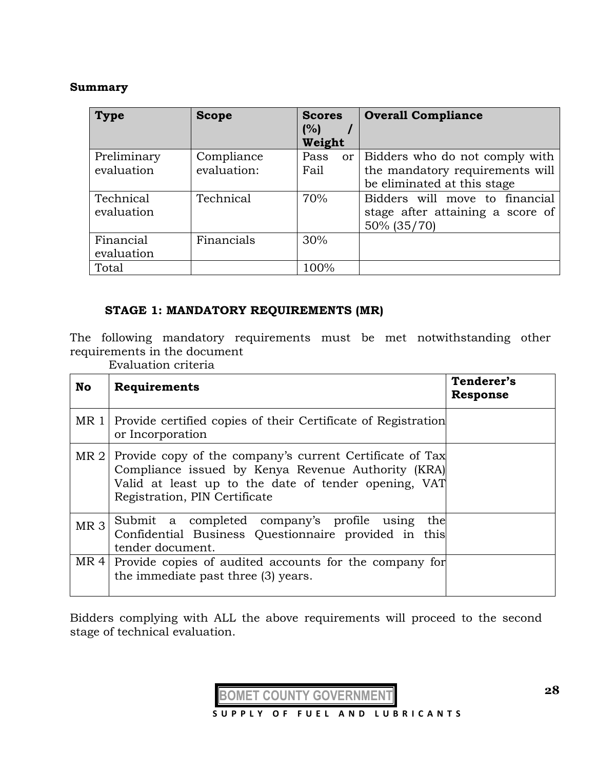#### **Summary**

| <b>Type</b>               | <b>Scope</b>              | <b>Scores</b><br>(%)<br>Weight | <b>Overall Compliance</b>                                                                             |
|---------------------------|---------------------------|--------------------------------|-------------------------------------------------------------------------------------------------------|
| Preliminary<br>evaluation | Compliance<br>evaluation: | Pass<br>Fail                   | or   Bidders who do not comply with<br>the mandatory requirements will<br>be eliminated at this stage |
| Technical<br>evaluation   | Technical                 | 70%                            | Bidders will move to financial<br>stage after attaining a score of<br>50% (35/70)                     |
| Financial<br>evaluation   | Financials                | 30%                            |                                                                                                       |
| Total                     |                           | 100%                           |                                                                                                       |

## **STAGE 1: MANDATORY REQUIREMENTS (MR)**

The following mandatory requirements must be met notwithstanding other requirements in the document

Evaluation criteria

| <b>No</b>       | Requirements                                                                                                                                                                                            | Tenderer's<br><b>Response</b> |
|-----------------|---------------------------------------------------------------------------------------------------------------------------------------------------------------------------------------------------------|-------------------------------|
|                 | MR 1 Provide certified copies of their Certificate of Registration<br>or Incorporation                                                                                                                  |                               |
| MR <sub>2</sub> | Provide copy of the company's current Certificate of Tax<br>Compliance issued by Kenya Revenue Authority (KRA)<br>Valid at least up to the date of tender opening, VAT<br>Registration, PIN Certificate |                               |
| MR <sub>3</sub> | Submit a completed company's profile using<br>the<br>Confidential Business Questionnaire provided in this<br>tender document.                                                                           |                               |
| MR4             | Provide copies of audited accounts for the company for<br>the immediate past three (3) years.                                                                                                           |                               |

Bidders complying with ALL the above requirements will proceed to the second stage of technical evaluation.

**BOMET COUNTY GOVERNMENT**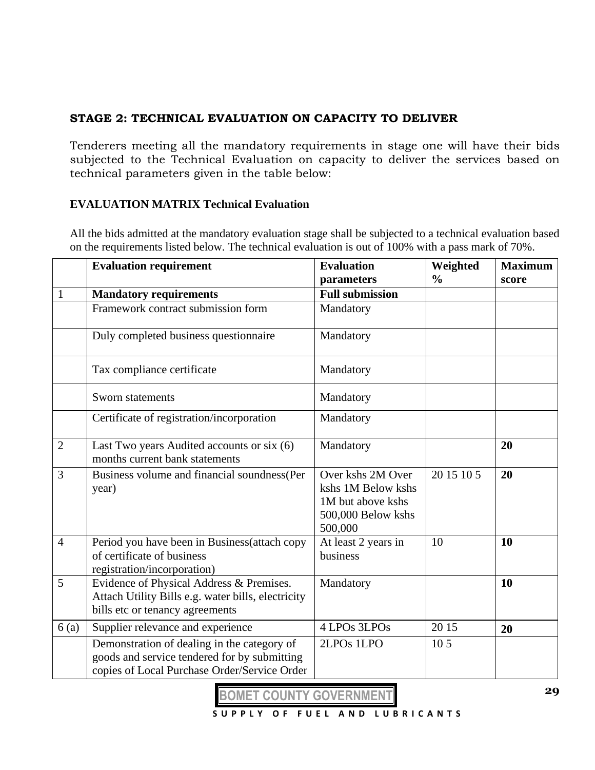# **STAGE 2: TECHNICAL EVALUATION ON CAPACITY TO DELIVER**

Tenderers meeting all the mandatory requirements in stage one will have their bids subjected to the Technical Evaluation on capacity to deliver the services based on technical parameters given in the table below:

## **EVALUATION MATRIX Technical Evaluation**

All the bids admitted at the mandatory evaluation stage shall be subjected to a technical evaluation based on the requirements listed below. The technical evaluation is out of 100% with a pass mark of 70%.

|                | <b>Evaluation requirement</b>                                                                                                               | <b>Evaluation</b>                                                                             | Weighted        | <b>Maximum</b> |  |
|----------------|---------------------------------------------------------------------------------------------------------------------------------------------|-----------------------------------------------------------------------------------------------|-----------------|----------------|--|
|                |                                                                                                                                             | parameters                                                                                    | $\frac{0}{0}$   | score          |  |
| 1              | <b>Mandatory requirements</b>                                                                                                               | <b>Full submission</b>                                                                        |                 |                |  |
|                | Framework contract submission form                                                                                                          | Mandatory                                                                                     |                 |                |  |
|                | Duly completed business questionnaire                                                                                                       | Mandatory                                                                                     |                 |                |  |
|                | Tax compliance certificate                                                                                                                  | Mandatory                                                                                     |                 |                |  |
|                | Sworn statements                                                                                                                            | Mandatory                                                                                     |                 |                |  |
|                | Certificate of registration/incorporation                                                                                                   | Mandatory                                                                                     |                 |                |  |
| $\overline{2}$ | Last Two years Audited accounts or six (6)<br>months current bank statements                                                                | Mandatory                                                                                     |                 | 20             |  |
| 3              | Business volume and financial soundness (Per<br>year)                                                                                       | Over kshs 2M Over<br>kshs 1M Below kshs<br>1M but above kshs<br>500,000 Below kshs<br>500,000 | 20 15 10 5      | 20             |  |
| $\overline{4}$ | Period you have been in Business (attach copy<br>of certificate of business<br>registration/incorporation)                                  | At least 2 years in<br>business                                                               | 10              | 10             |  |
| 5              | Evidence of Physical Address & Premises.<br>Attach Utility Bills e.g. water bills, electricity<br>bills etc or tenancy agreements           | Mandatory                                                                                     |                 | 10             |  |
| 6(a)           | Supplier relevance and experience                                                                                                           | 4 LPOs 3LPOs                                                                                  | 20 15           | 20             |  |
|                | Demonstration of dealing in the category of<br>goods and service tendered for by submitting<br>copies of Local Purchase Order/Service Order | 2LPO <sub>s</sub> 1LPO                                                                        | 10 <sub>5</sub> |                |  |

**BOMET COUNTY GOVERNMENT**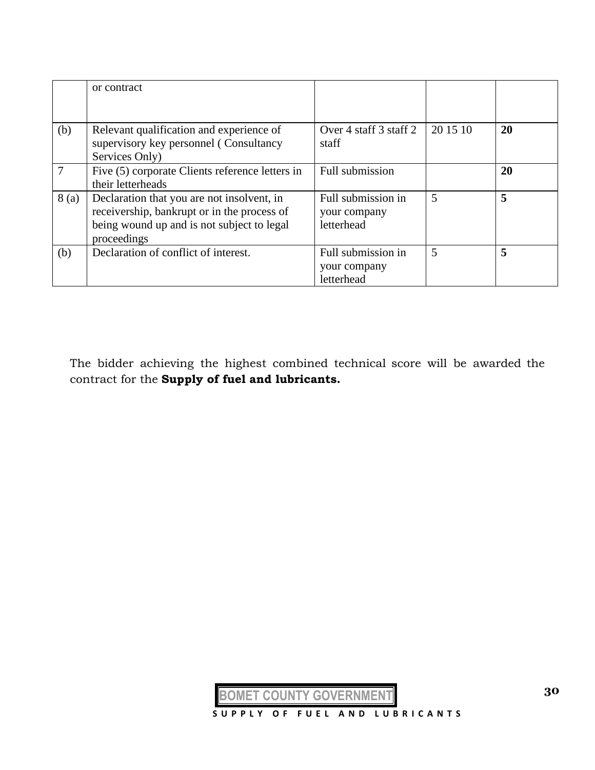|      | or contract                                                                                                                                            |                                                  |          |    |
|------|--------------------------------------------------------------------------------------------------------------------------------------------------------|--------------------------------------------------|----------|----|
| (b)  | Relevant qualification and experience of<br>supervisory key personnel (Consultancy<br>Services Only)                                                   | Over 4 staff 3 staff 2<br>staff                  | 20 15 10 | 20 |
|      | Five (5) corporate Clients reference letters in<br>their letterheads                                                                                   | Full submission                                  |          | 20 |
| 8(a) | Declaration that you are not insolvent, in<br>receivership, bankrupt or in the process of<br>being wound up and is not subject to legal<br>proceedings | Full submission in<br>your company<br>letterhead | 5        | 5  |
| (b)  | Declaration of conflict of interest.                                                                                                                   | Full submission in<br>your company<br>letterhead | 5        | 5  |

The bidder achieving the highest combined technical score will be awarded the contract for the **Supply of fuel and lubricants.**

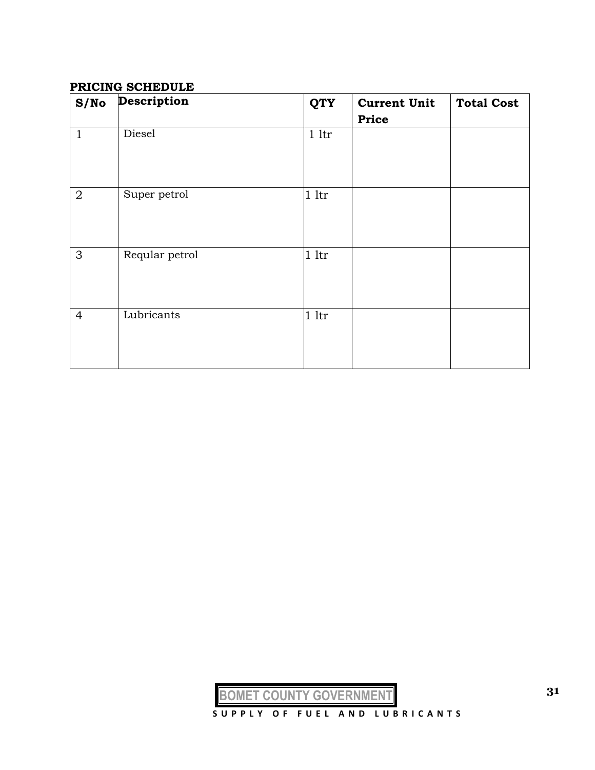#### **PRICING SCHEDULE**

| S/No           | Description    | <b>QTY</b>     | <b>Current Unit</b><br><b>Price</b> | <b>Total Cost</b> |
|----------------|----------------|----------------|-------------------------------------|-------------------|
| $\mathbf{1}$   | Diesel         | 1 <sup>1</sup> |                                     |                   |
| $\overline{2}$ | Super petrol   | 1 <sup>1</sup> |                                     |                   |
| 3              | Reqular petrol | 1 <sup>1</sup> |                                     |                   |
| $\overline{4}$ | Lubricants     | 1 <sup>1</sup> |                                     |                   |

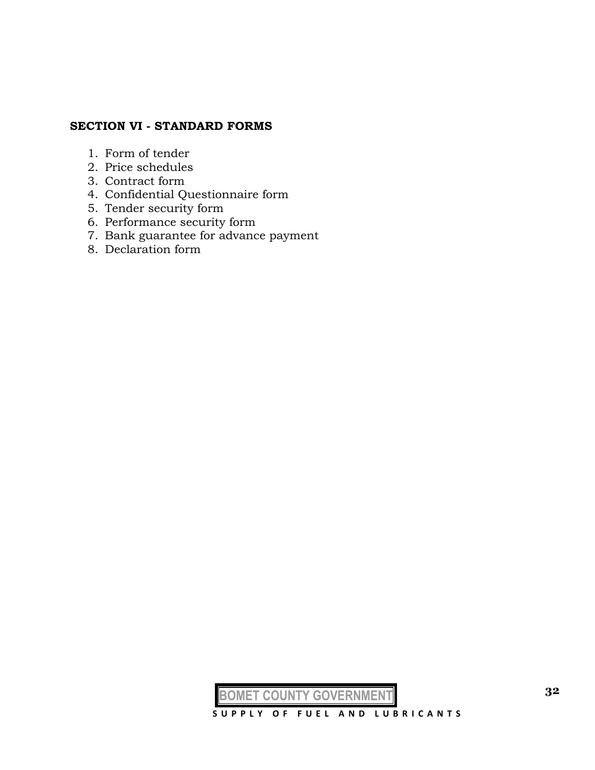# **SECTION VI - STANDARD FORMS**

- 1. Form of tender
- 2. Price schedules
- 3. Contract form
- 4. Confidential Questionnaire form
- 5. Tender security form
- 6. Performance security form
- 7. Bank guarantee for advance payment
- 8. Declaration form

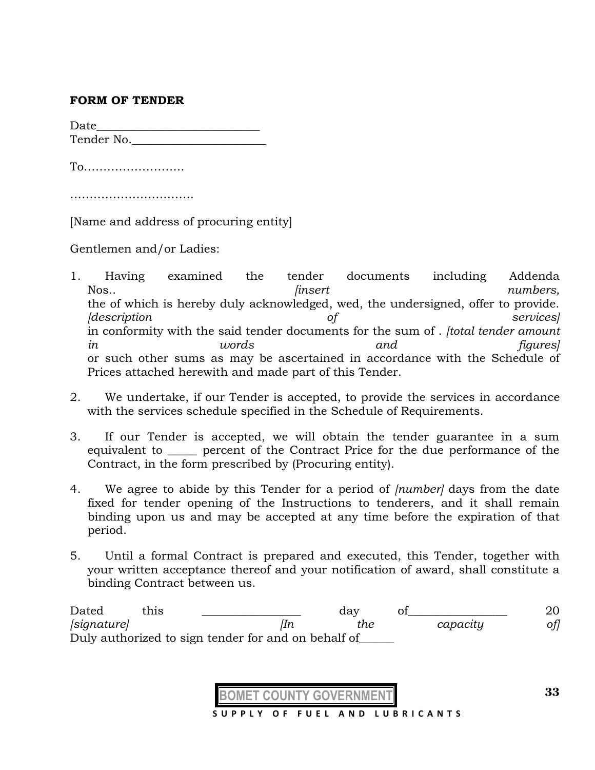#### **FORM OF TENDER**

Date  $\qquad \qquad \qquad \qquad$ Tender No.\_\_\_\_\_\_\_\_\_\_\_\_\_\_\_\_\_\_\_\_\_\_\_

To……………………..

……………………………………

[Name and address of procuring entity]

Gentlemen and/or Ladies:

- 1. Having examined the tender documents including Addenda Nos.. *compared insert insert numbers, numbers,* the of which is hereby duly acknowledged, wed, the undersigned, offer to provide. *[description of services]*  in conformity with the said tender documents for the sum of . *[total tender amount in words and figures]*  or such other sums as may be ascertained in accordance with the Schedule of Prices attached herewith and made part of this Tender.
- 2. We undertake, if our Tender is accepted, to provide the services in accordance with the services schedule specified in the Schedule of Requirements.
- 3. If our Tender is accepted, we will obtain the tender guarantee in a sum equivalent to **percent of the Contract Price for the due performance of the** Contract, in the form prescribed by (Procuring entity).
- 4. We agree to abide by this Tender for a period of *[number]* days from the date fixed for tender opening of the Instructions to tenderers, and it shall remain binding upon us and may be accepted at any time before the expiration of that period.
- 5. Until a formal Contract is prepared and executed, this Tender, together with your written acceptance thereof and your notification of award, shall constitute a binding Contract between us.

Dated this \_\_\_\_\_\_\_\_\_\_\_\_\_\_ day of\_\_\_\_\_\_\_\_\_\_\_\_\_ 20 *[signature] [In the capacity of]* Duly authorized to sign tender for and on behalf of\_\_\_\_\_\_

 **S U P P L Y O F F U E L A N D L U B R I C A N T S**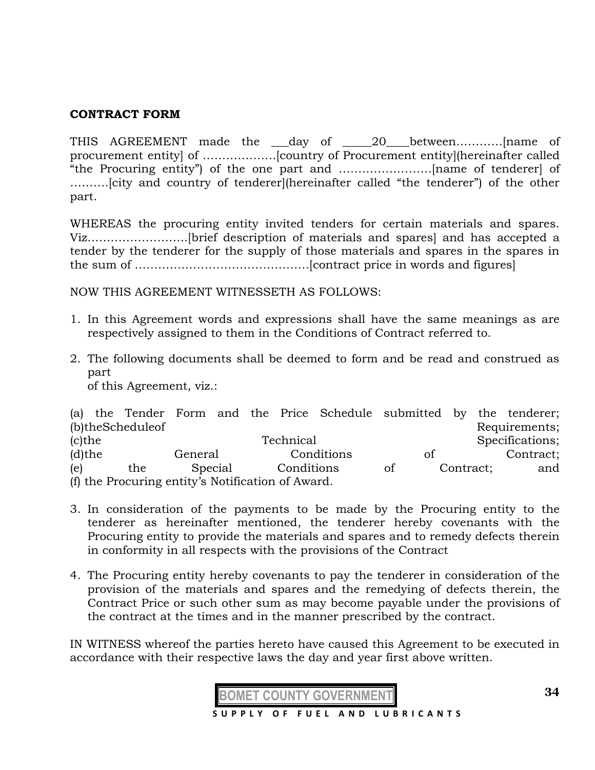#### **CONTRACT FORM**

THIS AGREEMENT made the \_\_\_day of \_\_\_\_\_20\_\_\_\_between…………[name of procurement entity] of ……………….[country of Procurement entity](hereinafter called "the Procuring entity") of the one part and ……………………[name of tenderer] of ……….[city and country of tenderer](hereinafter called "the tenderer") of the other part.

WHEREAS the procuring entity invited tenders for certain materials and spares. Viz……………………..[brief description of materials and spares] and has accepted a tender by the tenderer for the supply of those materials and spares in the spares in the sum of ………………………………………[contract price in words and figures]

NOW THIS AGREEMENT WITNESSETH AS FOLLOWS:

- 1. In this Agreement words and expressions shall have the same meanings as are respectively assigned to them in the Conditions of Contract referred to.
- 2. The following documents shall be deemed to form and be read and construed as part

of this Agreement, viz.:

|                                                   |  |                  |         |  |  |            | (a) the Tender Form and the Price Schedule submitted by the tenderer; |    |           |                 |
|---------------------------------------------------|--|------------------|---------|--|--|------------|-----------------------------------------------------------------------|----|-----------|-----------------|
|                                                   |  | (b)theScheduleof |         |  |  |            |                                                                       |    |           | Requirements;   |
| $(c)$ the                                         |  |                  |         |  |  | Technical  |                                                                       |    |           | Specifications; |
| $(d)$ the                                         |  |                  | General |  |  |            | Conditions                                                            | of |           | Contract;       |
| (e)                                               |  | the              | Special |  |  | Conditions |                                                                       | of | Contract; | and             |
| (f) the Procuring entity's Notification of Award. |  |                  |         |  |  |            |                                                                       |    |           |                 |

- 3. In consideration of the payments to be made by the Procuring entity to the tenderer as hereinafter mentioned, the tenderer hereby covenants with the Procuring entity to provide the materials and spares and to remedy defects therein in conformity in all respects with the provisions of the Contract
- 4. The Procuring entity hereby covenants to pay the tenderer in consideration of the provision of the materials and spares and the remedying of defects therein, the Contract Price or such other sum as may become payable under the provisions of the contract at the times and in the manner prescribed by the contract.

IN WITNESS whereof the parties hereto have caused this Agreement to be executed in accordance with their respective laws the day and year first above written.

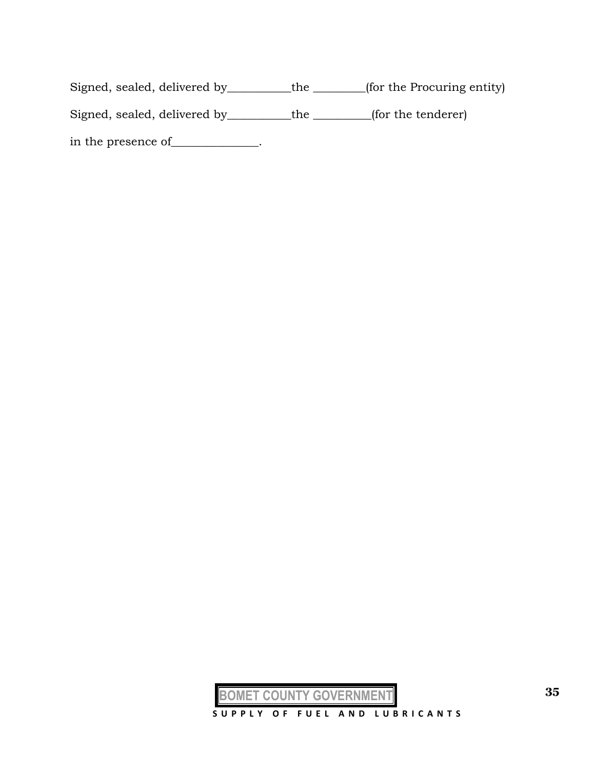Signed, sealed, delivered by\_\_\_\_\_\_\_\_\_\_\_the \_\_\_\_\_\_\_\_\_(for the Procuring entity) Signed, sealed, delivered by \_\_\_\_\_\_\_\_\_the \_\_\_\_\_\_\_\_(for the tenderer)

in the presence of\_\_\_\_\_\_\_\_\_\_\_\_\_.

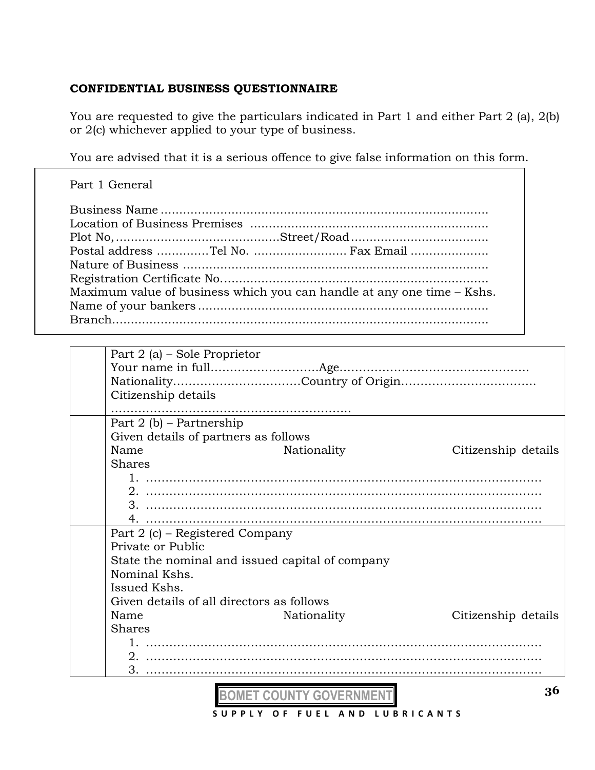# **CONFIDENTIAL BUSINESS QUESTIONNAIRE**

You are requested to give the particulars indicated in Part 1 and either Part 2 (a), 2(b) or 2(c) whichever applied to your type of business.

You are advised that it is a serious offence to give false information on this form.

| Part 1 General                                                         |
|------------------------------------------------------------------------|
| Postal address Tel No.  Fax Email                                      |
| Maximum value of business which you can handle at any one time - Kshs. |

| Part 2 (a) – Sole Proprietor                    |             |                     |
|-------------------------------------------------|-------------|---------------------|
|                                                 |             |                     |
|                                                 |             |                     |
| Citizenship details                             |             |                     |
|                                                 |             |                     |
| Part $2(b)$ – Partnership                       |             |                     |
| Given details of partners as follows            |             |                     |
| Name                                            | Nationality | Citizenship details |
| <b>Shares</b>                                   |             |                     |
|                                                 |             |                     |
|                                                 |             |                     |
|                                                 |             |                     |
|                                                 |             |                     |
| Part 2 (c) – Registered Company                 |             |                     |
| Private or Public                               |             |                     |
| State the nominal and issued capital of company |             |                     |
| Nominal Kshs.                                   |             |                     |
| Issued Kshs.                                    |             |                     |
| Given details of all directors as follows       |             |                     |
| Name                                            | Nationality | Citizenship details |
| <b>Shares</b>                                   |             |                     |
|                                                 |             |                     |
|                                                 |             |                     |
| 3.                                              |             |                     |

**BOMET COUNTY GOVERNMENT S U P P L Y O F F U E L A N D L U B R I C A N T S**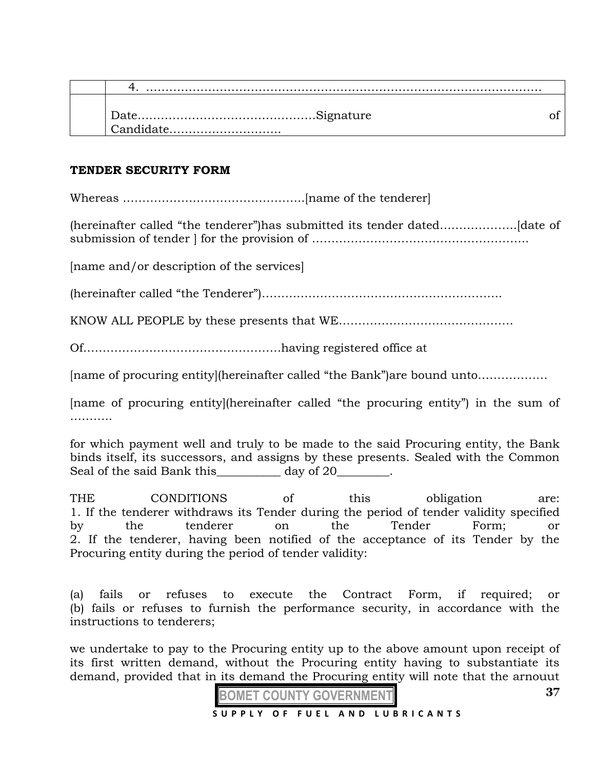| Candidate |  |
|-----------|--|

#### **TENDER SECURITY FORM**

Whereas ………………………………………..[name of the tenderer]

(hereinafter called "the tenderer")has submitted its tender dated………………..[date of submission of tender ] for the provision of ………………………………………………..

[name and/or description of the services]

(hereinafter called "the Tenderer")……………………………………………………..

KNOW ALL PEOPLE by these presents that WE………………………………………

Of……………………………………………having registered office at

[name of procuring entity](hereinafter called "the Bank")are bound unto………………

[name of procuring entity](hereinafter called "the procuring entity") in the sum of …………

for which payment well and truly to be made to the said Procuring entity, the Bank binds itself, its successors, and assigns by these presents. Sealed with the Common Seal of the said Bank this day of 20 cases.

THE CONDITIONS of this obligation are: 1. If the tenderer withdraws its Tender during the period of tender validity specified by the tenderer on the Tender Form; or 2. If the tenderer, having been notified of the acceptance of its Tender by the Procuring entity during the period of tender validity:

(a) fails or refuses to execute the Contract Form, if required; or (b) fails or refuses to furnish the performance security, in accordance with the instructions to tenderers;

we undertake to pay to the Procuring entity up to the above amount upon receipt of its first written demand, without the Procuring entity having to substantiate its demand, provided that in its demand the Procuring entity will note that the arnouut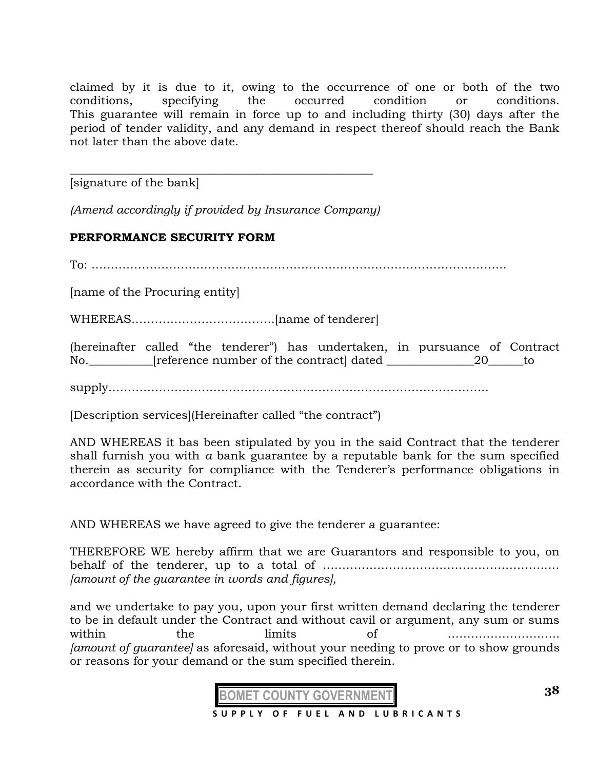claimed by it is due to it, owing to the occurrence of one or both of the two conditions, specifying the occurred condition or conditions. This guarantee will remain in force up to and including thirty (30) days after the period of tender validity, and any demand in respect thereof should reach the Bank not later than the above date.

[signature of the bank]

*(Amend accordingly if provided by Insurance Company)*

\_\_\_\_\_\_\_\_\_\_\_\_\_\_\_\_\_\_\_\_\_\_\_\_\_\_\_\_\_\_\_\_\_\_\_\_\_\_\_\_\_\_\_\_\_\_\_\_\_\_\_\_

# **PERFORMANCE SECURITY FORM**

To: ……………………………………………………………………………………………..

[name of the Procuring entity]

WHEREAS……………………………….[name of tenderer]

(hereinafter called "the tenderer") has undertaken, in pursuance of Contract No.\_\_\_\_\_\_\_\_\_\_\_\_[reference number of the contract] dated \_\_\_\_\_\_\_\_\_\_\_\_\_\_\_\_\_\_\_\_\_\_\_\_\_\_\_\_\_\_\_to

supply……………………………………………………………………………………..

[Description services](Hereinafter called "the contract")

AND WHEREAS it bas been stipulated by you in the said Contract that the tenderer shall furnish you with *a* bank guarantee by a reputable bank for the sum specified therein as security for compliance with the Tenderer's performance obligations in accordance with the Contract.

AND WHEREAS we have agreed to give the tenderer a guarantee:

THEREFORE WE hereby affirm that we are Guarantors and responsible to you, on behalf of the tenderer, up to a total of ……………………………………………………. *[amount of the guarantee in words and figures],*

and we undertake to pay you, upon your first written demand declaring the tenderer to be in default under the Contract and without cavil or argument, any sum or sums within the limits of ……………………….. *[amount of guarantee]* as aforesaid, without your needing to prove or to show grounds or reasons for your demand or the sum specified therein.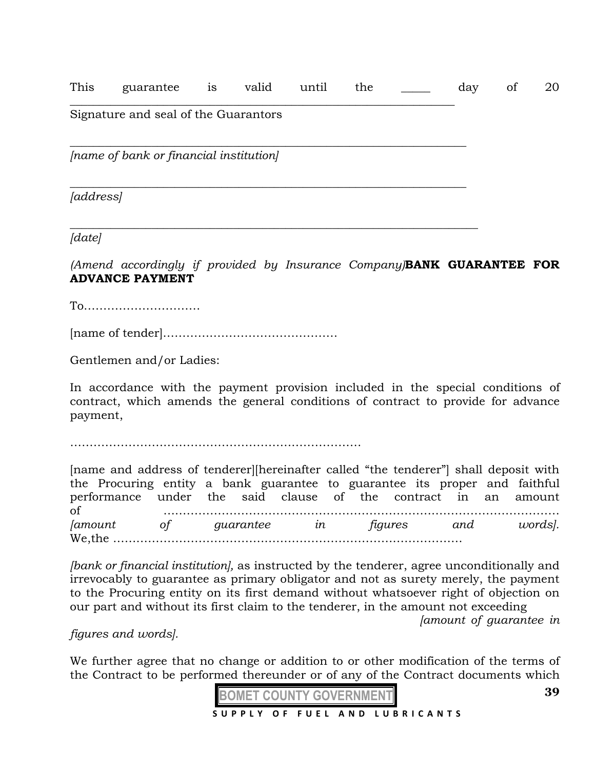This guarantee is valid until the \_\_\_\_\_ day of 20

\_\_\_\_\_\_\_\_\_\_\_\_\_\_\_\_\_\_\_\_\_\_\_\_\_\_\_\_\_\_\_\_\_\_\_\_\_\_\_\_\_\_\_\_\_\_\_\_\_\_\_\_\_\_\_\_\_\_\_\_\_\_\_\_\_\_

*\_\_\_\_\_\_\_\_\_\_\_\_\_\_\_\_\_\_\_\_\_\_\_\_\_\_\_\_\_\_\_\_\_\_\_\_\_\_\_\_\_\_\_\_\_\_\_\_\_\_\_\_\_\_\_\_\_\_\_\_\_\_\_\_\_\_\_\_*

*\_\_\_\_\_\_\_\_\_\_\_\_\_\_\_\_\_\_\_\_\_\_\_\_\_\_\_\_\_\_\_\_\_\_\_\_\_\_\_\_\_\_\_\_\_\_\_\_\_\_\_\_\_\_\_\_\_\_\_\_\_\_\_\_\_\_\_\_\_\_*

#### Signature and seal of the Guarantors

 $\_$  , and the contribution of the contribution of  $\mathcal{L}_\mathcal{A}$  , and the contribution of  $\mathcal{L}_\mathcal{A}$ *[name of bank or financial institution]* 

*[address]* 

*[date]* 

*(Amend accordingly if provided by Insurance Company)***BANK GUARANTEE FOR ADVANCE PAYMENT**

To…………………………

[name of tender]………………………………………

Gentlemen and/or Ladies:

In accordance with the payment provision included in the special conditions of contract, which amends the general conditions of contract to provide for advance payment,

…………………………………………………………………

[name and address of tenderer][hereinafter called "the tenderer"] shall deposit with the Procuring entity a bank guarantee to guarantee its proper and faithful performance under the said clause of the contract in an amount of ………………………………………………………………………………………… *[amount of guarantee in figures and words].*  We,the ………………………………………………………………………………

*[bank or financial institution],* as instructed by the tenderer, agree unconditionally and irrevocably to guarantee as primary obligator and not as surety merely, the payment to the Procuring entity on its first demand without whatsoever right of objection on our part and without its first claim to the tenderer, in the amount not exceeding

*[amount of guarantee in* 

*figures and words].* 

We further agree that no change or addition to or other modification of the terms of the Contract to be performed thereunder or of any of the Contract documents which



**39**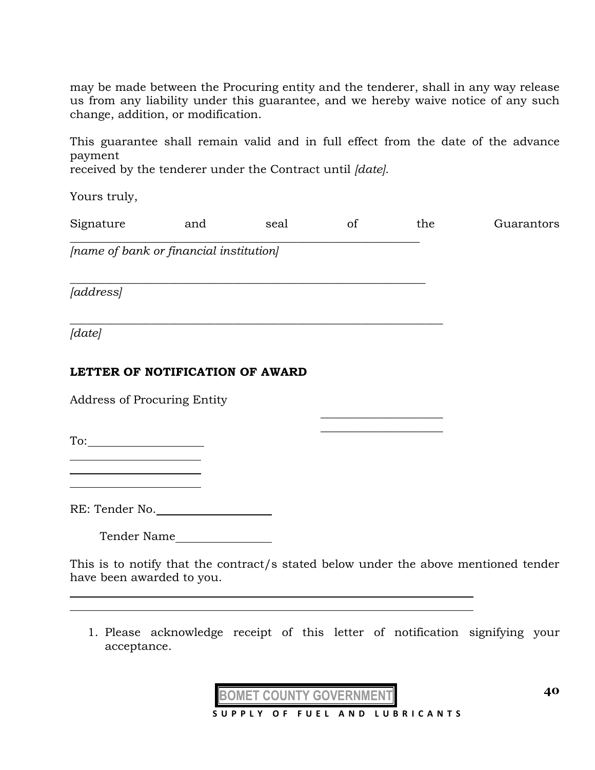may be made between the Procuring entity and the tenderer, shall in any way release us from any liability under this guarantee, and we hereby waive notice of any such change, addition, or modification.

This guarantee shall remain valid and in full effect from the date of the advance payment

received by the tenderer under the Contract until *[date].* 

 $\_$  , and the set of the set of the set of the set of the set of the set of the set of the set of the set of the set of the set of the set of the set of the set of the set of the set of the set of the set of the set of th

*\_\_\_\_\_\_\_\_\_\_\_\_\_\_\_\_\_\_\_\_\_\_\_\_\_\_\_\_\_\_\_\_\_\_\_\_\_\_\_\_\_\_\_\_\_\_\_\_\_\_\_\_\_\_\_\_\_\_\_\_\_*

Yours truly,

| Signature | and | seal | the | Guarantors |
|-----------|-----|------|-----|------------|
|           |     |      |     |            |

*[name of bank or financial institution]* 

*[address]* 

*\_\_\_\_\_\_\_\_\_\_\_\_\_\_\_\_\_\_\_\_\_\_\_\_\_\_\_\_\_\_\_\_\_\_\_\_\_\_\_\_\_\_\_\_\_\_\_\_\_\_\_\_\_\_\_\_\_\_\_\_\_\_\_\_ [date]* 

l

# **LETTER OF NOTIFICATION OF AWARD**

Address of Procuring Entity

To:

RE: Tender No.

Tender Name

This is to notify that the contract/s stated below under the above mentioned tender have been awarded to you.

 $\overline{\phantom{a}}$  , where  $\overline{\phantom{a}}$  , where  $\overline{\phantom{a}}$  , where  $\overline{\phantom{a}}$  $\overline{\phantom{a}}$  , where  $\overline{\phantom{a}}$  , where  $\overline{\phantom{a}}$  , where  $\overline{\phantom{a}}$ 

1. Please acknowledge receipt of this letter of notification signifying your acceptance.

**BOMET COUNTY GOVERNMENT**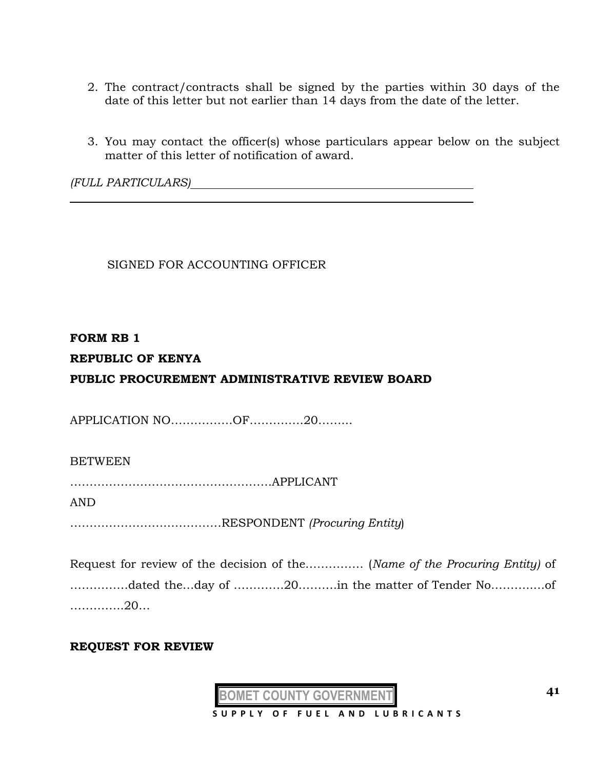- 2. The contract/contracts shall be signed by the parties within 30 days of the date of this letter but not earlier than 14 days from the date of the letter.
- 3. You may contact the officer(s) whose particulars appear below on the subject matter of this letter of notification of award.

*(FULL PARTICULARS)*

SIGNED FOR ACCOUNTING OFFICER

#### **FORM RB 1**

## **REPUBLIC OF KENYA**

# **PUBLIC PROCUREMENT ADMINISTRATIVE REVIEW BOARD**

APPLICATION NO…………….OF……….….20……...

#### **BETWEEN**

…………………………………………….APPLICANT

AND

…………………………………RESPONDENT *(Procuring Entity*)

Request for review of the decision of the…………… (*Name of the Procuring Entity)* of ……………dated the…day of ………….20……….in the matter of Tender No………..…of …………..20…

#### **REQUEST FOR REVIEW**